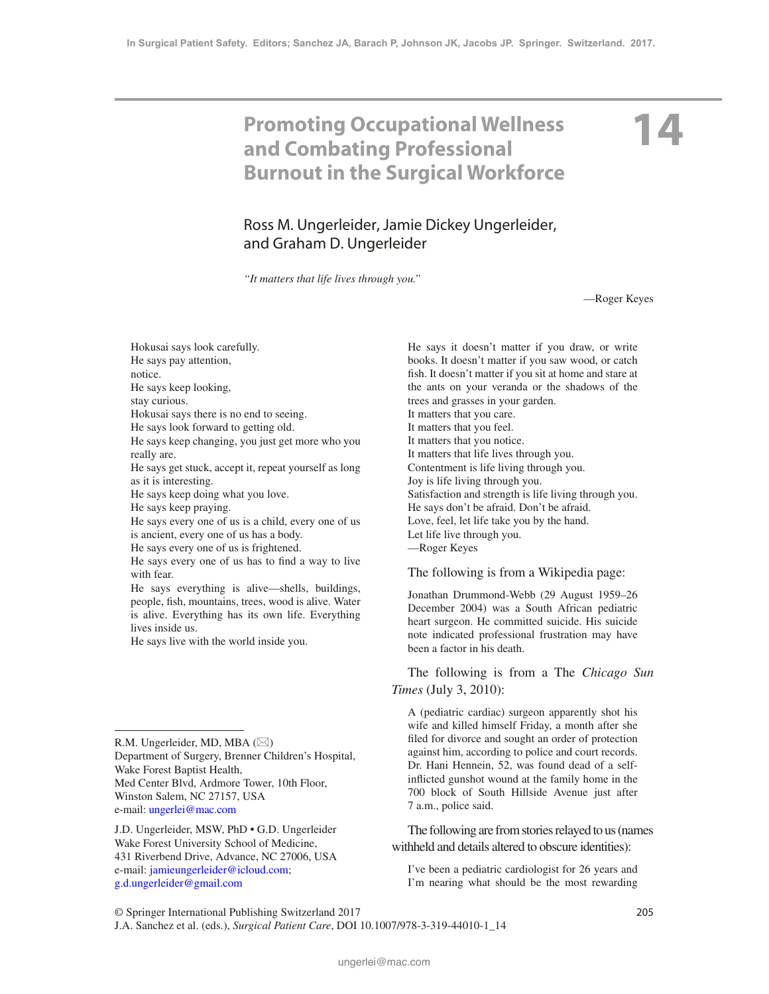# **Promoting Occupational Wellness and Combating Professional Burnout in the Surgical Workforce** In Surgical Patient Safety. Editors; Sanchez JA, Barach P, Johnson JK, Jacobs JP. Springer. Switzerland. 2017.<br> **Promoting Occupational Wellness<br>
and Combating Professional<br>
Burnout in the Surgical Workforce<br>
Ross M. Unger**

# **14**

# Ross M. Ungerleider, Jamie Dickey Ungerleider, and Graham D. Ungerleider

*"It matters that life lives through you."*

—Roger Keyes

Hokusai says look carefully. He says pay attention, notice. He says keep looking, stay curious. Hokusai says there is no end to seeing. He says look forward to getting old. He says keep changing, you just get more who you really are. He says get stuck, accept it, repeat yourself as long as it is interesting. He says keep doing what you love. He says keep praying. He says every one of us is a child, every one of us is ancient, every one of us has a body. He says every one of us is frightened. He says every one of us has to find a way to live with fear. He says everything is alive—shells, buildings, people, fish, mountains, trees, wood is alive. Water is alive. Everything has its own life. Everything lives inside us. He says live with the world inside you.

R.M. Ungerleider, MD, MBA  $(\boxtimes)$ Department of Surgery, Brenner Children's Hospital, Wake Forest Baptist Health, Med Center Blvd, Ardmore Tower, 10th Floor, Winston Salem, NC 27157, USA e-mail: ungerlei@mac.com

J.D. Ungerleider, MSW, PhD • G.D. Ungerleider Wake Forest University School of Medicine, 431 Riverbend Drive, Advance, NC 27006, USA e-mail: jamieungerleider@icloud.com; g.d.ungerleider@gmail.com

He says it doesn't matter if you draw, or write books. It doesn't matter if you saw wood, or catch fish. It doesn't matter if you sit at home and stare at the ants on your veranda or the shadows of the trees and grasses in your garden. It matters that you care. It matters that you feel. It matters that you notice. It matters that life lives through you. Contentment is life living through you. Joy is life living through you. Satisfaction and strength is life living through you. He says don't be afraid. Don't be afraid. Love, feel, let life take you by the hand. Let life live through you. —Roger Keyes

The following is from a Wikipedia page:

Jonathan Drummond-Webb (29 August 1959–26 December 2004) was a South African pediatric heart surgeon. He committed suicide. His suicide note indicated professional frustration may have been a factor in his death.

The following is from a The *Chicago Sun Times* (July 3, 2010):

A (pediatric cardiac) surgeon apparently shot his wife and killed himself Friday, a month after she filed for divorce and sought an order of protection against him, according to police and court records. Dr. Hani Hennein, 52, was found dead of a selfinflicted gunshot wound at the family home in the 700 block of South Hillside Avenue just after 7 a.m., police said.

The following are from stories relayed to us (names withheld and details altered to obscure identities):

I've been a pediatric cardiologist for 26 years and I'm nearing what should be the most rewarding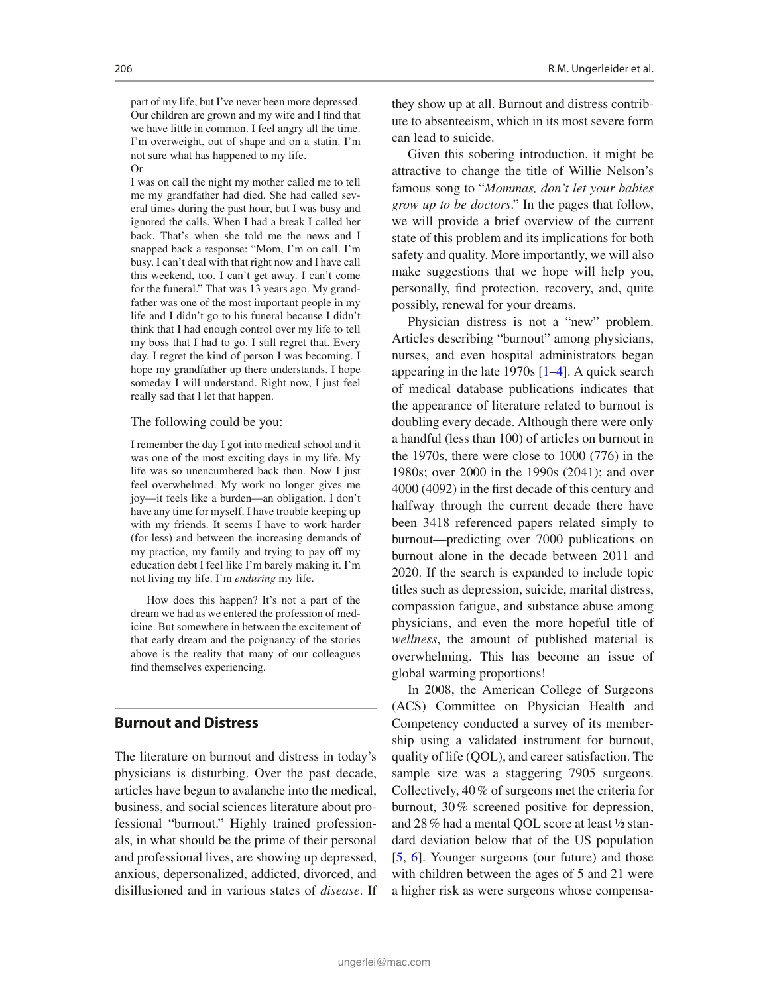part of my life, but I've never been more depressed. Our children are grown and my wife and I find that we have little in common. I feel angry all the time. I'm overweight, out of shape and on a statin. I'm not sure what has happened to my life. Or

I was on call the night my mother called me to tell me my grandfather had died. She had called several times during the past hour, but I was busy and ignored the calls. When I had a break I called her back. That's when she told me the news and I snapped back a response: "Mom, I'm on call. I'm busy. I can't deal with that right now and I have call this weekend, too. I can't get away. I can't come for the funeral." That was 13 years ago. My grandfather was one of the most important people in my life and I didn't go to his funeral because I didn't think that I had enough control over my life to tell my boss that I had to go. I still regret that. Every day. I regret the kind of person I was becoming. I hope my grandfather up there understands. I hope someday I will understand. Right now, I just feel really sad that I let that happen.

#### The following could be you:

I remember the day I got into medical school and it was one of the most exciting days in my life. My life was so unencumbered back then. Now I just feel overwhelmed. My work no longer gives me joy—it feels like a burden—an obligation. I don't have any time for myself. I have trouble keeping up with my friends. It seems I have to work harder (for less) and between the increasing demands of my practice, my family and trying to pay off my education debt I feel like I'm barely making it. I'm not living my life. I'm *enduring* my life.

How does this happen? It's not a part of the dream we had as we entered the profession of medicine. But somewhere in between the excitement of that early dream and the poignancy of the stories above is the reality that many of our colleagues find themselves experiencing.

#### **Burnout and Distress**

The literature on burnout and distress in today's physicians is disturbing. Over the past decade, articles have begun to avalanche into the medical, business, and social sciences literature about professional "burnout." Highly trained professionals, in what should be the prime of their personal and professional lives, are showing up depressed, anxious, depersonalized, addicted, divorced, and disillusioned and in various states of *disease*. If they show up at all. Burnout and distress contribute to absenteeism, which in its most severe form can lead to suicide.

Given this sobering introduction, it might be attractive to change the title of Willie Nelson's famous song to "*Mommas, don't let your babies grow up to be doctors*." In the pages that follow, we will provide a brief overview of the current state of this problem and its implications for both safety and quality. More importantly, we will also make suggestions that we hope will help you, personally, find protection, recovery, and, quite possibly, renewal for your dreams.

Physician distress is not a "new" problem. Articles describing "burnout" among physicians, nurses, and even hospital administrators began appearing in the late 1970s [1–4]. A quick search of medical database publications indicates that the appearance of literature related to burnout is doubling every decade. Although there were only a handful (less than 100) of articles on burnout in the 1970s, there were close to 1000 (776) in the 1980s; over 2000 in the 1990s (2041); and over 4000 (4092) in the first decade of this century and halfway through the current decade there have been 3418 referenced papers related simply to burnout—predicting over 7000 publications on burnout alone in the decade between 2011 and 2020. If the search is expanded to include topic titles such as depression, suicide, marital distress, compassion fatigue, and substance abuse among physicians, and even the more hopeful title of *wellness*, the amount of published material is overwhelming. This has become an issue of global warming proportions!

In 2008, the American College of Surgeons (ACS) Committee on Physician Health and Competency conducted a survey of its membership using a validated instrument for burnout, quality of life (QOL), and career satisfaction. The sample size was a staggering 7905 surgeons. Collectively, 40% of surgeons met the criteria for burnout, 30% screened positive for depression, and 28% had a mental QOL score at least ½ standard deviation below that of the US population [5, 6]. Younger surgeons (our future) and those with children between the ages of 5 and 21 were a higher risk as were surgeons whose compensa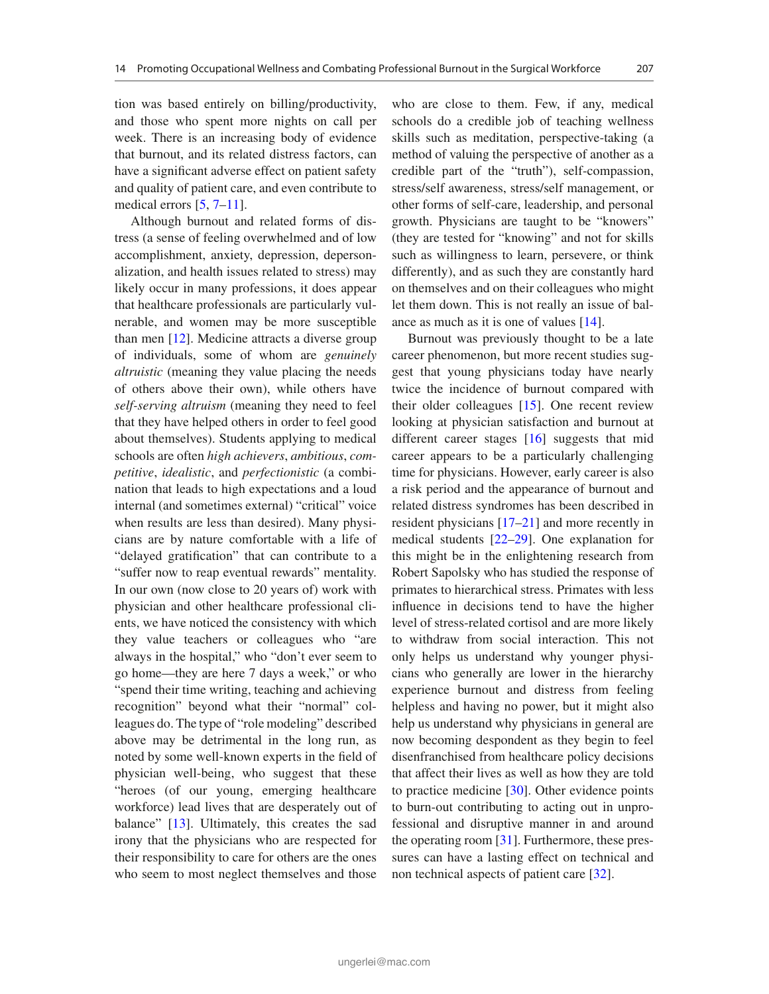tion was based entirely on billing/productivity, and those who spent more nights on call per week. There is an increasing body of evidence that burnout, and its related distress factors, can have a significant adverse effect on patient safety and quality of patient care, and even contribute to medical errors [5, 7–11].

Although burnout and related forms of distress (a sense of feeling overwhelmed and of low accomplishment, anxiety, depression, depersonalization, and health issues related to stress) may likely occur in many professions, it does appear that healthcare professionals are particularly vulnerable, and women may be more susceptible than men [12]. Medicine attracts a diverse group of individuals, some of whom are *genuinely altruistic* (meaning they value placing the needs of others above their own), while others have *self-serving altruism* (meaning they need to feel that they have helped others in order to feel good about themselves). Students applying to medical schools are often *high achievers*, *ambitious*, *competitive*, *idealistic*, and *perfectionistic* (a combination that leads to high expectations and a loud internal (and sometimes external) "critical" voice when results are less than desired). Many physicians are by nature comfortable with a life of "delayed gratification" that can contribute to a "suffer now to reap eventual rewards" mentality. In our own (now close to 20 years of) work with physician and other healthcare professional clients, we have noticed the consistency with which they value teachers or colleagues who "are always in the hospital," who "don't ever seem to go home—they are here 7 days a week," or who "spend their time writing, teaching and achieving recognition" beyond what their "normal" colleagues do. The type of "role modeling" described above may be detrimental in the long run, as noted by some well-known experts in the field of physician well-being, who suggest that these "heroes (of our young, emerging healthcare workforce) lead lives that are desperately out of balance" [13]. Ultimately, this creates the sad irony that the physicians who are respected for their responsibility to care for others are the ones who seem to most neglect themselves and those

who are close to them. Few, if any, medical schools do a credible job of teaching wellness skills such as meditation, perspective-taking (a method of valuing the perspective of another as a credible part of the "truth"), self-compassion, stress/self awareness, stress/self management, or other forms of self-care, leadership, and personal growth. Physicians are taught to be "knowers" (they are tested for "knowing" and not for skills such as willingness to learn, persevere, or think differently), and as such they are constantly hard on themselves and on their colleagues who might let them down. This is not really an issue of balance as much as it is one of values [14].

Burnout was previously thought to be a late career phenomenon, but more recent studies suggest that young physicians today have nearly twice the incidence of burnout compared with their older colleagues [15]. One recent review looking at physician satisfaction and burnout at different career stages [16] suggests that mid career appears to be a particularly challenging time for physicians. However, early career is also a risk period and the appearance of burnout and related distress syndromes has been described in resident physicians [17–21] and more recently in medical students [22–29]. One explanation for this might be in the enlightening research from Robert Sapolsky who has studied the response of primates to hierarchical stress. Primates with less influence in decisions tend to have the higher level of stress-related cortisol and are more likely to withdraw from social interaction. This not only helps us understand why younger physicians who generally are lower in the hierarchy experience burnout and distress from feeling helpless and having no power, but it might also help us understand why physicians in general are now becoming despondent as they begin to feel disenfranchised from healthcare policy decisions that affect their lives as well as how they are told to practice medicine [30]. Other evidence points to burn-out contributing to acting out in unprofessional and disruptive manner in and around the operating room  $[31]$ . Furthermore, these pressures can have a lasting effect on technical and non technical aspects of patient care [32].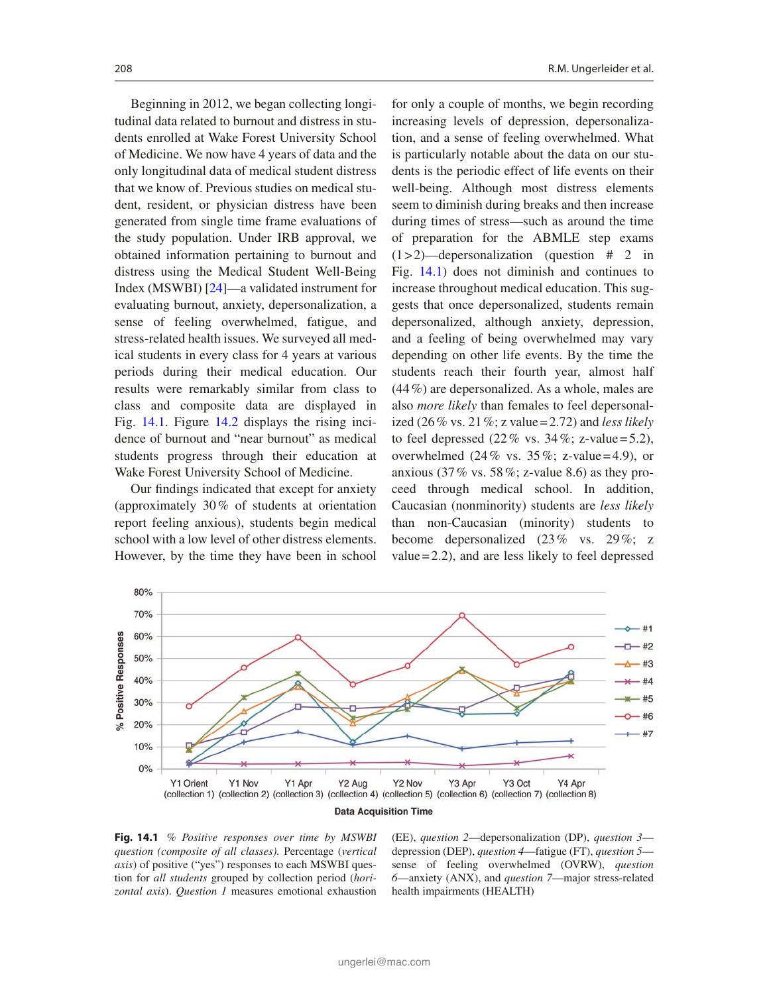Beginning in 2012, we began collecting longitudinal data related to burnout and distress in students enrolled at Wake Forest University School of Medicine. We now have 4 years of data and the only longitudinal data of medical student distress that we know of. Previous studies on medical student, resident, or physician distress have been generated from single time frame evaluations of the study population. Under IRB approval, we obtained information pertaining to burnout and distress using the Medical Student Well-Being Index (MSWBI) [24]—a validated instrument for evaluating burnout, anxiety, depersonalization, a sense of feeling overwhelmed, fatigue, and stress-related health issues. We surveyed all medical students in every class for 4 years at various periods during their medical education. Our results were remarkably similar from class to class and composite data are displayed in Fig. 14.1. Figure 14.2 displays the rising incidence of burnout and "near burnout" as medical students progress through their education at Wake Forest University School of Medicine.

Our findings indicated that except for anxiety (approximately 30% of students at orientation report feeling anxious), students begin medical school with a low level of other distress elements. However, by the time they have been in school

for only a couple of months, we begin recording increasing levels of depression, depersonalization, and a sense of feeling overwhelmed. What is particularly notable about the data on our students is the periodic effect of life events on their well-being. Although most distress elements seem to diminish during breaks and then increase during times of stress—such as around the time of preparation for the ABMLE step exams  $(1>2)$ —depersonalization (question # 2 in Fig. 14.1) does not diminish and continues to increase throughout medical education. This suggests that once depersonalized, students remain depersonalized, although anxiety, depression, and a feeling of being overwhelmed may vary depending on other life events. By the time the students reach their fourth year, almost half (44%) are depersonalized. As a whole, males are also *more likely* than females to feel depersonalized (26% vs. 21%; z value=2.72) and *less likely* to feel depressed  $(22\% \text{ vs. } 34\%; \text{ z-value}=5.2)$ , overwhelmed  $(24\% \text{ vs. } 35\%; \text{ z-value}=4.9)$ , or anxious (37% vs. 58%; z-value 8.6) as they proceed through medical school. In addition, Caucasian (nonminority) students are *less likely* than non-Caucasian (minority) students to become depersonalized (23% vs. 29%; z value=2.2), and are less likely to feel depressed



**Fig. 14.1** *% Positive responses over time by MSWBI question (composite of all classes).* Percentage (*vertical axis*) of positive ("yes") responses to each MSWBI question for *all students* grouped by collection period (*horizontal axis*). *Question 1* measures emotional exhaustion

(EE), *question 2*—depersonalization (DP), *question 3* depression (DEP), *question 4*—fatigue (FT), *question 5* sense of feeling overwhelmed (OVRW), *question 6*—anxiety (ANX), and *question 7*—major stress-related health impairments (HEALTH)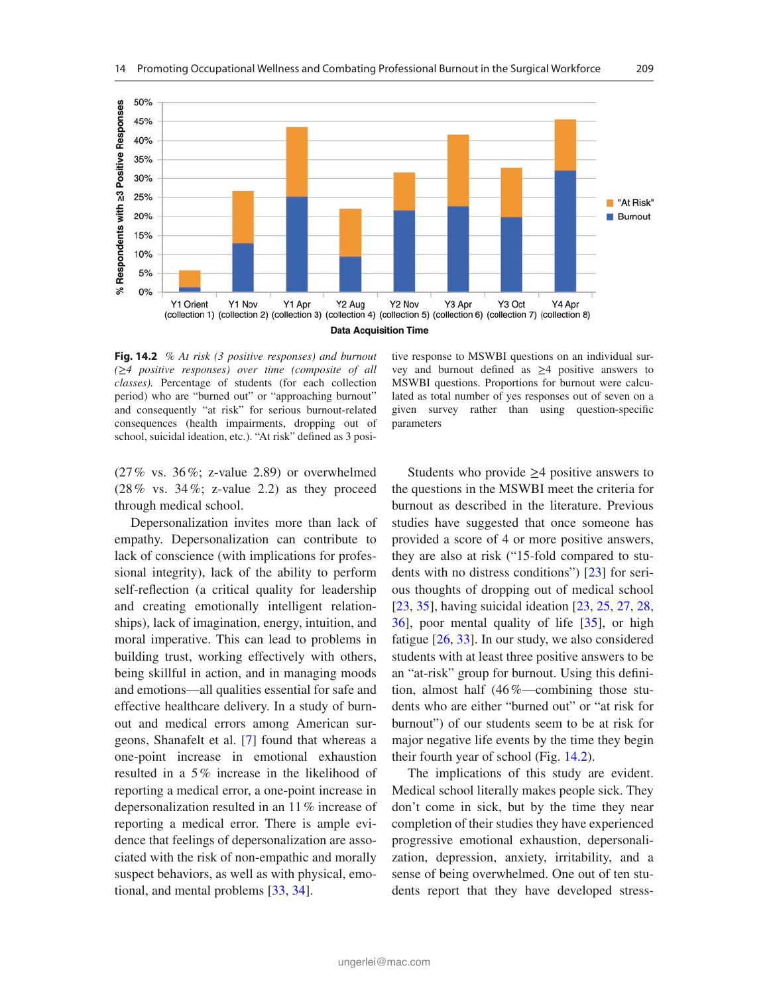

**Fig. 14.2** *% At risk (3 positive responses) and burnout (*≥*4 positive responses) over time (composite of all classes).* Percentage of students (for each collection period) who are "burned out" or "approaching burnout" and consequently "at risk" for serious burnout-related consequences (health impairments, dropping out of school, suicidal ideation, etc.). "At risk" defined as 3 posi-

 $(27\% \text{ vs. } 36\%; \text{ z-value } 2.89) \text{ or overwhelmed}$  $(28\% \text{ vs. } 34\%; \text{ z-value } 2.2) \text{ as they proceed}$ through medical school.

Depersonalization invites more than lack of empathy. Depersonalization can contribute to lack of conscience (with implications for professional integrity), lack of the ability to perform self-reflection (a critical quality for leadership and creating emotionally intelligent relationships), lack of imagination, energy, intuition, and moral imperative. This can lead to problems in building trust, working effectively with others, being skillful in action, and in managing moods and emotions—all qualities essential for safe and effective healthcare delivery. In a study of burnout and medical errors among American surgeons, Shanafelt et al. [7] found that whereas a one-point increase in emotional exhaustion resulted in a 5% increase in the likelihood of reporting a medical error, a one-point increase in depersonalization resulted in an 11% increase of reporting a medical error. There is ample evidence that feelings of depersonalization are associated with the risk of non-empathic and morally suspect behaviors, as well as with physical, emotional, and mental problems [33, 34].

tive response to MSWBI questions on an individual survey and burnout defined as ≥4 positive answers to MSWBI questions. Proportions for burnout were calculated as total number of yes responses out of seven on a given survey rather than using question-specific parameters

Students who provide  $\geq$ 4 positive answers to the questions in the MSWBI meet the criteria for burnout as described in the literature. Previous studies have suggested that once someone has provided a score of 4 or more positive answers, they are also at risk ("15-fold compared to students with no distress conditions") [23] for serious thoughts of dropping out of medical school [23, 35], having suicidal ideation [23, 25, 27, 28, 36], poor mental quality of life [35], or high fatigue [26, 33]. In our study, we also considered students with at least three positive answers to be an "at-risk" group for burnout. Using this definition, almost half (46%—combining those students who are either "burned out" or "at risk for burnout") of our students seem to be at risk for major negative life events by the time they begin their fourth year of school (Fig. 14.2).

The implications of this study are evident. Medical school literally makes people sick. They don't come in sick, but by the time they near completion of their studies they have experienced progressive emotional exhaustion, depersonalization, depression, anxiety, irritability, and a sense of being overwhelmed. One out of ten students report that they have developed stress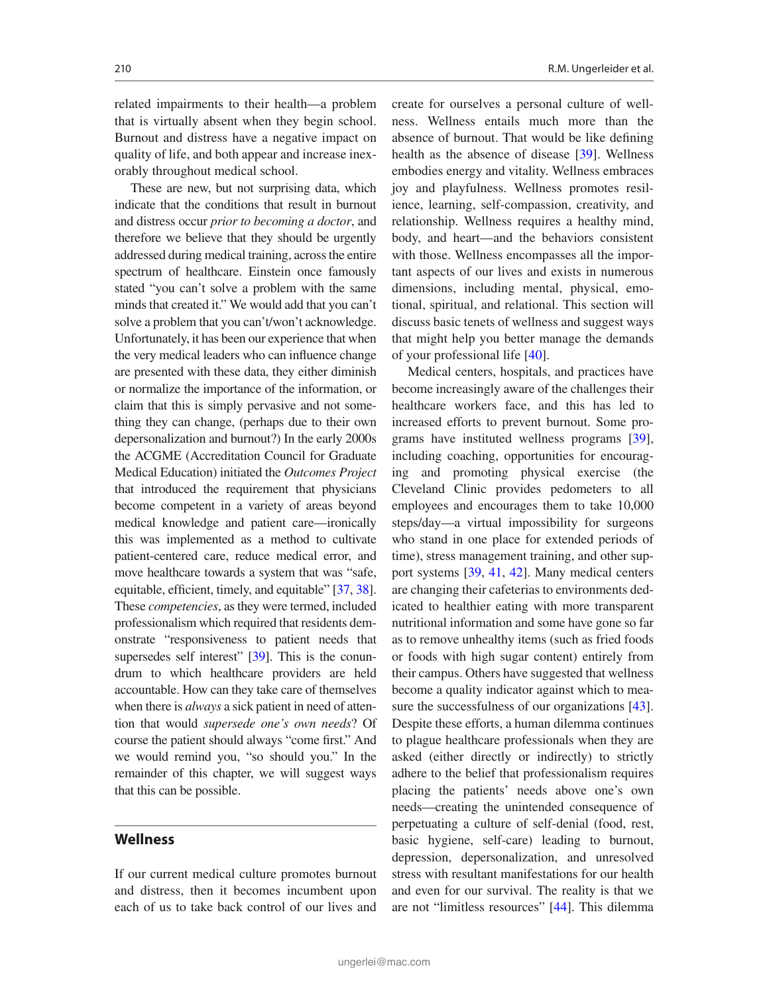related impairments to their health—a problem that is virtually absent when they begin school. Burnout and distress have a negative impact on quality of life, and both appear and increase inexorably throughout medical school.

These are new, but not surprising data, which indicate that the conditions that result in burnout and distress occur *prior to becoming a doctor*, and therefore we believe that they should be urgently addressed during medical training, across the entire spectrum of healthcare. Einstein once famously stated "you can't solve a problem with the same minds that created it." We would add that you can't solve a problem that you can't/won't acknowledge. Unfortunately, it has been our experience that when the very medical leaders who can influence change are presented with these data, they either diminish or normalize the importance of the information, or claim that this is simply pervasive and not something they can change, (perhaps due to their own depersonalization and burnout?) In the early 2000s the ACGME (Accreditation Council for Graduate Medical Education) initiated the *Outcomes Project* that introduced the requirement that physicians become competent in a variety of areas beyond medical knowledge and patient care—ironically this was implemented as a method to cultivate patient-centered care, reduce medical error, and move healthcare towards a system that was "safe, equitable, efficient, timely, and equitable" [37, 38]. These *competencies*, as they were termed, included professionalism which required that residents demonstrate "responsiveness to patient needs that supersedes self interest" [39]. This is the conundrum to which healthcare providers are held accountable. How can they take care of themselves when there is *always* a sick patient in need of attention that would *supersede one's own needs*? Of course the patient should always "come first." And we would remind you, "so should you." In the remainder of this chapter, we will suggest ways that this can be possible.

# **Wellness**

If our current medical culture promotes burnout and distress, then it becomes incumbent upon each of us to take back control of our lives and

create for ourselves a personal culture of wellness. Wellness entails much more than the absence of burnout. That would be like defining health as the absence of disease [39]. Wellness embodies energy and vitality. Wellness embraces joy and playfulness. Wellness promotes resilience, learning, self-compassion, creativity, and relationship. Wellness requires a healthy mind, body, and heart—and the behaviors consistent with those. Wellness encompasses all the important aspects of our lives and exists in numerous dimensions, including mental, physical, emotional, spiritual, and relational. This section will discuss basic tenets of wellness and suggest ways that might help you better manage the demands of your professional life [40].

Medical centers, hospitals, and practices have become increasingly aware of the challenges their healthcare workers face, and this has led to increased efforts to prevent burnout. Some programs have instituted wellness programs [39], including coaching, opportunities for encouraging and promoting physical exercise (the Cleveland Clinic provides pedometers to all employees and encourages them to take 10,000 steps/day—a virtual impossibility for surgeons who stand in one place for extended periods of time), stress management training, and other support systems [39, 41, 42]. Many medical centers are changing their cafeterias to environments dedicated to healthier eating with more transparent nutritional information and some have gone so far as to remove unhealthy items (such as fried foods or foods with high sugar content) entirely from their campus. Others have suggested that wellness become a quality indicator against which to measure the successfulness of our organizations [43]. Despite these efforts, a human dilemma continues to plague healthcare professionals when they are asked (either directly or indirectly) to strictly adhere to the belief that professionalism requires placing the patients' needs above one's own needs—creating the unintended consequence of perpetuating a culture of self-denial (food, rest, basic hygiene, self-care) leading to burnout, depression, depersonalization, and unresolved stress with resultant manifestations for our health and even for our survival. The reality is that we are not "limitless resources" [44]. This dilemma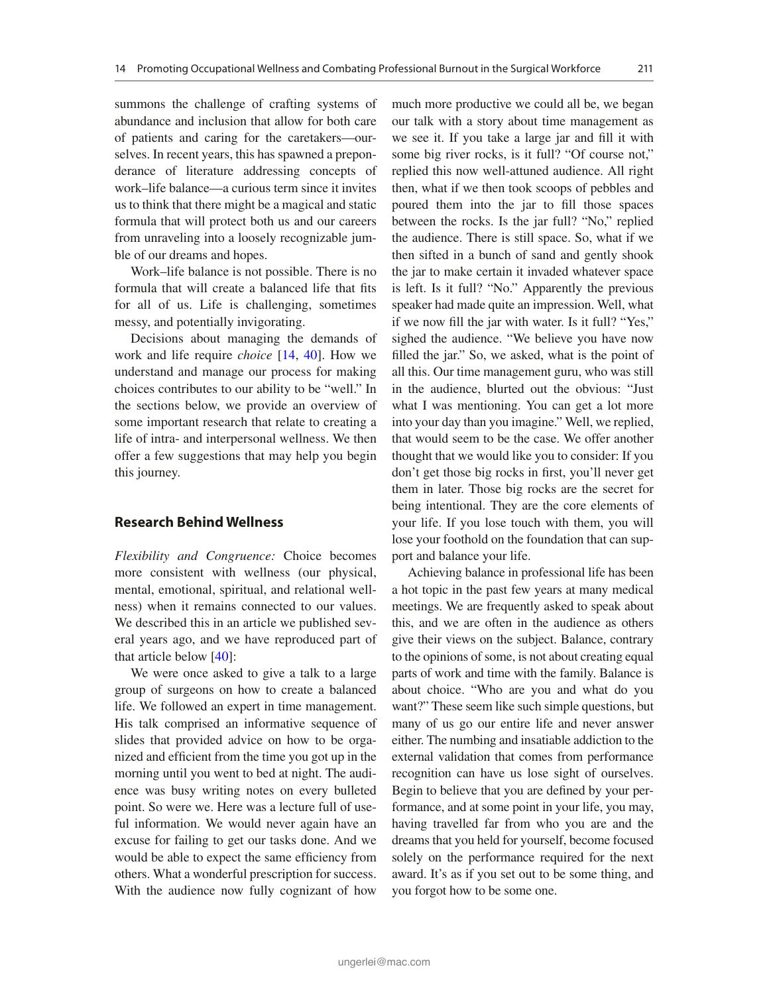summons the challenge of crafting systems of abundance and inclusion that allow for both care of patients and caring for the caretakers—ourselves. In recent years, this has spawned a preponderance of literature addressing concepts of work–life balance—a curious term since it invites us to think that there might be a magical and static formula that will protect both us and our careers from unraveling into a loosely recognizable jumble of our dreams and hopes.

Work–life balance is not possible. There is no formula that will create a balanced life that fits for all of us. Life is challenging, sometimes messy, and potentially invigorating.

Decisions about managing the demands of work and life require *choice* [14, 40]. How we understand and manage our process for making choices contributes to our ability to be "well." In the sections below, we provide an overview of some important research that relate to creating a life of intra- and interpersonal wellness. We then offer a few suggestions that may help you begin this journey.

#### **Research Behind Wellness**

*Flexibility and Congruence:* Choice becomes more consistent with wellness (our physical, mental, emotional, spiritual, and relational wellness) when it remains connected to our values. We described this in an article we published several years ago, and we have reproduced part of that article below [40]:

We were once asked to give a talk to a large group of surgeons on how to create a balanced life. We followed an expert in time management. His talk comprised an informative sequence of slides that provided advice on how to be organized and efficient from the time you got up in the morning until you went to bed at night. The audience was busy writing notes on every bulleted point. So were we. Here was a lecture full of useful information. We would never again have an excuse for failing to get our tasks done. And we would be able to expect the same efficiency from others. What a wonderful prescription for success. With the audience now fully cognizant of how much more productive we could all be, we began our talk with a story about time management as we see it. If you take a large jar and fill it with some big river rocks, is it full? "Of course not," replied this now well-attuned audience. All right then, what if we then took scoops of pebbles and poured them into the jar to fill those spaces between the rocks. Is the jar full? "No," replied the audience. There is still space. So, what if we then sifted in a bunch of sand and gently shook the jar to make certain it invaded whatever space is left. Is it full? "No." Apparently the previous speaker had made quite an impression. Well, what if we now fill the jar with water. Is it full? "Yes," sighed the audience. "We believe you have now filled the jar." So, we asked, what is the point of all this. Our time management guru, who was still in the audience, blurted out the obvious: "Just what I was mentioning. You can get a lot more into your day than you imagine." Well, we replied, that would seem to be the case. We offer another thought that we would like you to consider: If you don't get those big rocks in first, you'll never get them in later. Those big rocks are the secret for being intentional. They are the core elements of your life. If you lose touch with them, you will lose your foothold on the foundation that can support and balance your life.

Achieving balance in professional life has been a hot topic in the past few years at many medical meetings. We are frequently asked to speak about this, and we are often in the audience as others give their views on the subject. Balance, contrary to the opinions of some, is not about creating equal parts of work and time with the family. Balance is about choice. "Who are you and what do you want?" These seem like such simple questions, but many of us go our entire life and never answer either. The numbing and insatiable addiction to the external validation that comes from performance recognition can have us lose sight of ourselves. Begin to believe that you are defined by your performance, and at some point in your life, you may, having travelled far from who you are and the dreams that you held for yourself, become focused solely on the performance required for the next award. It's as if you set out to be some thing, and you forgot how to be some one.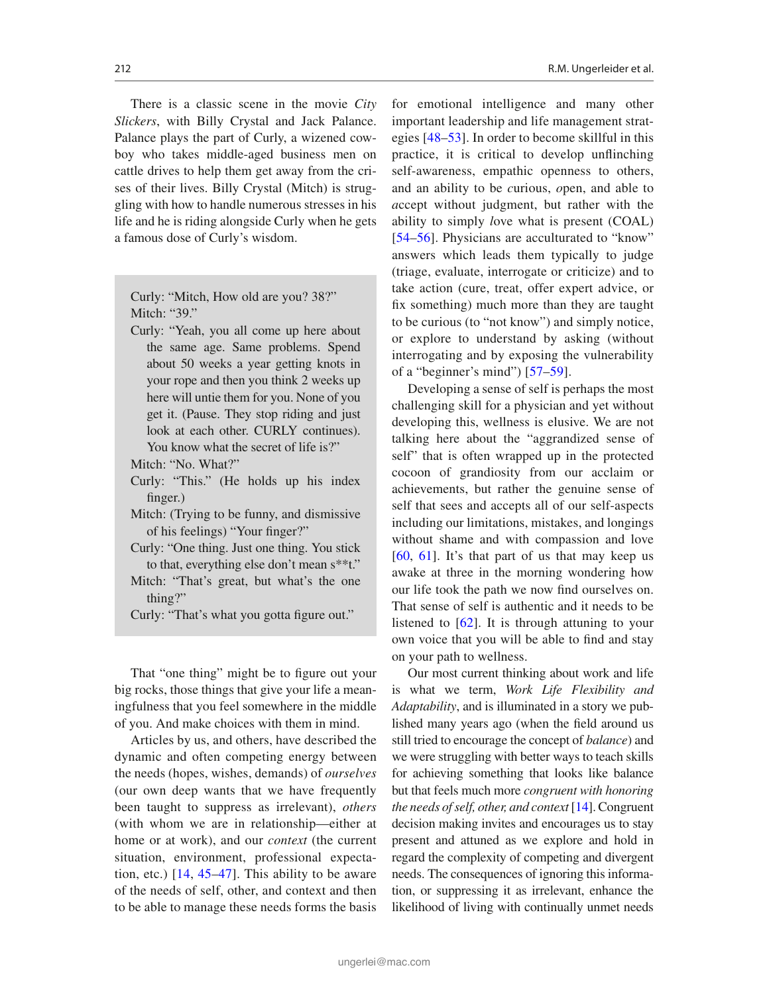There is a classic scene in the movie *City Slickers*, with Billy Crystal and Jack Palance. Palance plays the part of Curly, a wizened cowboy who takes middle-aged business men on cattle drives to help them get away from the crises of their lives. Billy Crystal (Mitch) is struggling with how to handle numerous stresses in his life and he is riding alongside Curly when he gets a famous dose of Curly's wisdom.

Curly: "Mitch, How old are you? 38?" Mitch: "39."

Curly: "Yeah, you all come up here about the same age. Same problems. Spend about 50 weeks a year getting knots in your rope and then you think 2 weeks up here will untie them for you. None of you get it. (Pause. They stop riding and just look at each other. CURLY continues). You know what the secret of life is?"

Mitch: "No. What?"

Curly: "This." (He holds up his index finger.)

Mitch: (Trying to be funny, and dismissive of his feelings) "Your finger?"

Curly: "One thing. Just one thing. You stick to that, everything else don't mean s\*\*t."

- Mitch: "That's great, but what's the one thing?"
- Curly: "That's what you gotta figure out."

That "one thing" might be to figure out your big rocks, those things that give your life a meaningfulness that you feel somewhere in the middle of you. And make choices with them in mind.

Articles by us, and others, have described the dynamic and often competing energy between the needs (hopes, wishes, demands) of *ourselves* (our own deep wants that we have frequently been taught to suppress as irrelevant), *others* (with whom we are in relationship—either at home or at work), and our *context* (the current situation, environment, professional expectation, etc.)  $[14, 45-47]$ . This ability to be aware of the needs of self, other, and context and then to be able to manage these needs forms the basis for emotional intelligence and many other important leadership and life management strategies [48–53]. In order to become skillful in this practice, it is critical to develop unflinching self-awareness, empathic openness to others, and an ability to be *c*urious, *o*pen, and able to *a*ccept without judgment, but rather with the ability to simply *l*ove what is present (COAL) [54–56]. Physicians are acculturated to "know" answers which leads them typically to judge (triage, evaluate, interrogate or criticize) and to take action (cure, treat, offer expert advice, or fix something) much more than they are taught to be curious (to "not know") and simply notice, or explore to understand by asking (without interrogating and by exposing the vulnerability of a "beginner's mind") [57–59].

Developing a sense of self is perhaps the most challenging skill for a physician and yet without developing this, wellness is elusive. We are not talking here about the "aggrandized sense of self" that is often wrapped up in the protected cocoon of grandiosity from our acclaim or achievements, but rather the genuine sense of self that sees and accepts all of our self-aspects including our limitations, mistakes, and longings without shame and with compassion and love [60, 61]. It's that part of us that may keep us awake at three in the morning wondering how our life took the path we now find ourselves on. That sense of self is authentic and it needs to be listened to [62]. It is through attuning to your own voice that you will be able to find and stay on your path to wellness.

Our most current thinking about work and life is what we term, *Work Life Flexibility and Adaptability*, and is illuminated in a story we published many years ago (when the field around us still tried to encourage the concept of *balance*) and we were struggling with better ways to teach skills for achieving something that looks like balance but that feels much more *congruent with honoring the needs of self, other, and context* [14]. Congruent decision making invites and encourages us to stay present and attuned as we explore and hold in regard the complexity of competing and divergent needs. The consequences of ignoring this information, or suppressing it as irrelevant, enhance the likelihood of living with continually unmet needs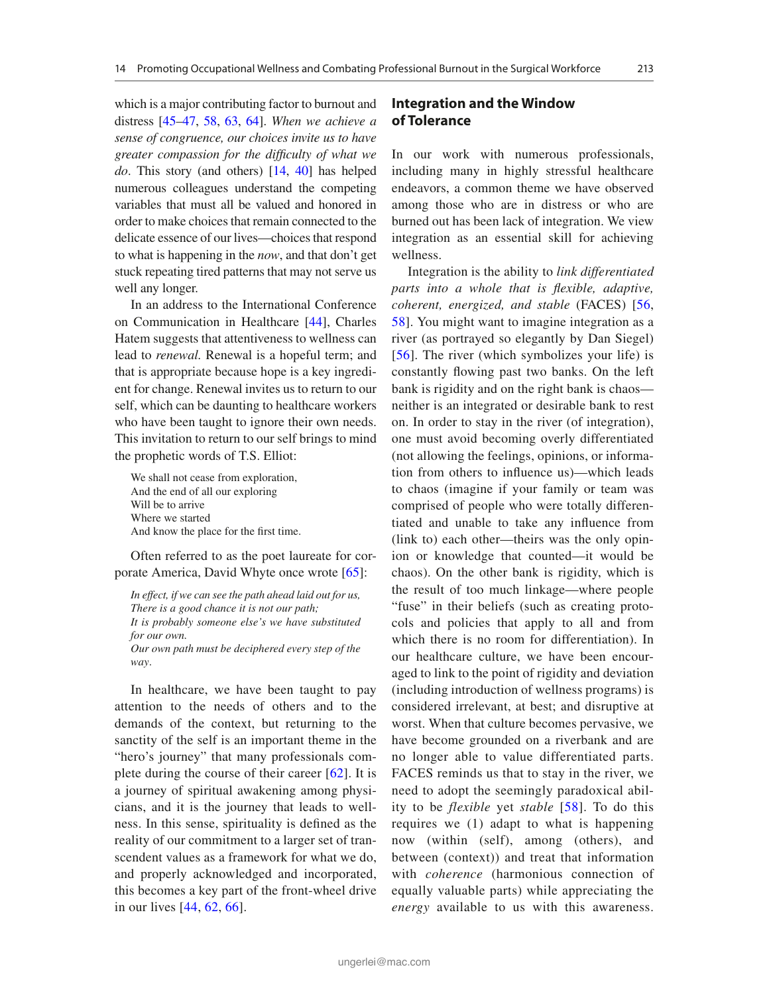which is a major contributing factor to burnout and distress [45–47, 58, 63, 64]. *When we achieve a sense of congruence, our choices invite us to have greater compassion for the difficulty of what we do*. This story (and others) [14, 40] has helped numerous colleagues understand the competing variables that must all be valued and honored in order to make choices that remain connected to the delicate essence of our lives—choices that respond to what is happening in the *now*, and that don't get stuck repeating tired patterns that may not serve us well any longer.

In an address to the International Conference on Communication in Healthcare [44], Charles Hatem suggests that attentiveness to wellness can lead to *renewal.* Renewal is a hopeful term; and that is appropriate because hope is a key ingredient for change. Renewal invites us to return to our self, which can be daunting to healthcare workers who have been taught to ignore their own needs. This invitation to return to our self brings to mind the prophetic words of T.S. Elliot:

We shall not cease from exploration, And the end of all our exploring Will be to arrive Where we started And know the place for the first time.

Often referred to as the poet laureate for corporate America, David Whyte once wrote [65]:

*In effect, if we can see the path ahead laid out for us, There is a good chance it is not our path; It is probably someone else's we have substituted for our own. Our own path must be deciphered every step of the way*.

In healthcare, we have been taught to pay attention to the needs of others and to the demands of the context, but returning to the sanctity of the self is an important theme in the "hero's journey" that many professionals complete during the course of their career [62]. It is a journey of spiritual awakening among physicians, and it is the journey that leads to wellness. In this sense, spirituality is defined as the reality of our commitment to a larger set of transcendent values as a framework for what we do, and properly acknowledged and incorporated, this becomes a key part of the front-wheel drive in our lives [44, 62, 66].

# **Integration and the Window of Tolerance**

In our work with numerous professionals, including many in highly stressful healthcare endeavors, a common theme we have observed among those who are in distress or who are burned out has been lack of integration. We view integration as an essential skill for achieving wellness.

Integration is the ability to *link differentiated parts into a whole that is flexible, adaptive, coherent, energized, and stable* (FACES) [56, 58]. You might want to imagine integration as a river (as portrayed so elegantly by Dan Siegel) [56]. The river (which symbolizes your life) is constantly flowing past two banks. On the left bank is rigidity and on the right bank is chaos neither is an integrated or desirable bank to rest on. In order to stay in the river (of integration), one must avoid becoming overly differentiated (not allowing the feelings, opinions, or information from others to influence us)—which leads to chaos (imagine if your family or team was comprised of people who were totally differentiated and unable to take any influence from (link to) each other—theirs was the only opinion or knowledge that counted—it would be chaos). On the other bank is rigidity, which is the result of too much linkage—where people "fuse" in their beliefs (such as creating protocols and policies that apply to all and from which there is no room for differentiation). In our healthcare culture, we have been encouraged to link to the point of rigidity and deviation (including introduction of wellness programs) is considered irrelevant, at best; and disruptive at worst. When that culture becomes pervasive, we have become grounded on a riverbank and are no longer able to value differentiated parts. FACES reminds us that to stay in the river, we need to adopt the seemingly paradoxical ability to be *flexible* yet *stable* [58]. To do this requires we (1) adapt to what is happening now (within (self), among (others), and between (context)) and treat that information with *coherence* (harmonious connection of equally valuable parts) while appreciating the *energy* available to us with this awareness.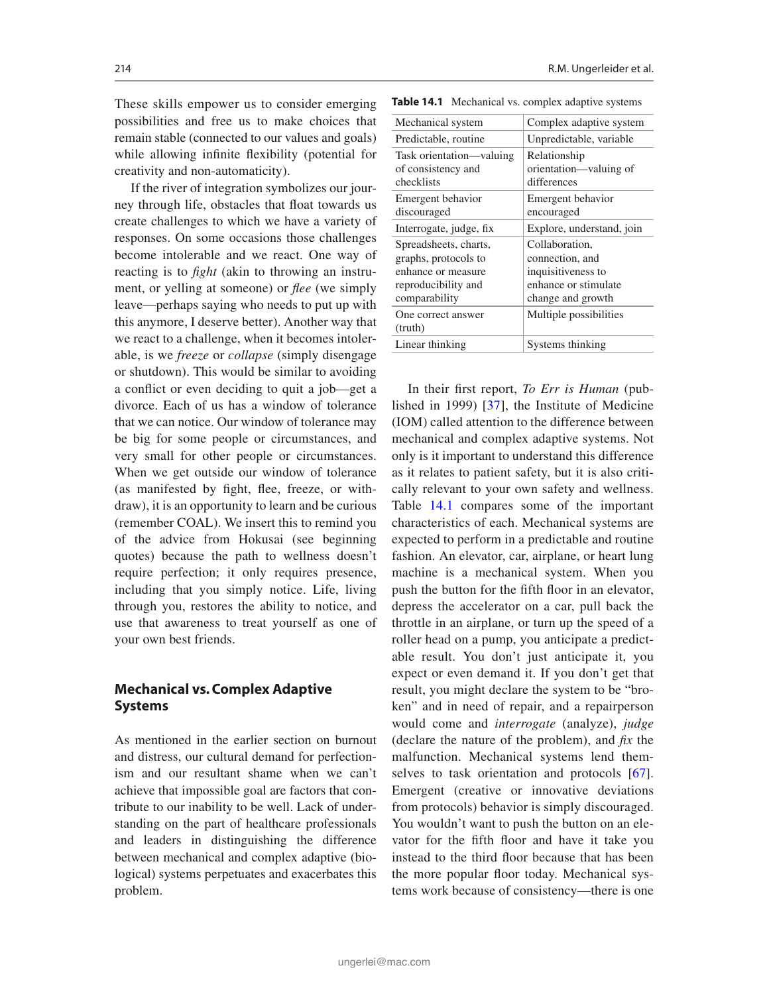These skills empower us to consider emerging possibilities and free us to make choices that remain stable (connected to our values and goals) while allowing infinite flexibility (potential for creativity and non-automaticity).

If the river of integration symbolizes our journey through life, obstacles that float towards us create challenges to which we have a variety of responses. On some occasions those challenges become intolerable and we react. One way of reacting is to *fight* (akin to throwing an instrument, or yelling at someone) or *flee* (we simply leave—perhaps saying who needs to put up with this anymore, I deserve better). Another way that we react to a challenge, when it becomes intolerable, is we *freeze* or *collapse* (simply disengage or shutdown). This would be similar to avoiding a conflict or even deciding to quit a job—get a divorce. Each of us has a window of tolerance that we can notice. Our window of tolerance may be big for some people or circumstances, and very small for other people or circumstances. When we get outside our window of tolerance (as manifested by fight, flee, freeze, or withdraw), it is an opportunity to learn and be curious (remember COAL). We insert this to remind you of the advice from Hokusai (see beginning quotes) because the path to wellness doesn't require perfection; it only requires presence, including that you simply notice. Life, living through you, restores the ability to notice, and use that awareness to treat yourself as one of your own best friends.

# **Mechanical vs. Complex Adaptive Systems**

As mentioned in the earlier section on burnout and distress, our cultural demand for perfectionism and our resultant shame when we can't achieve that impossible goal are factors that contribute to our inability to be well. Lack of understanding on the part of healthcare professionals and leaders in distinguishing the difference between mechanical and complex adaptive (biological) systems perpetuates and exacerbates this problem.

| <b>Table 14.1</b> Mechanical vs. complex adaptive systems |  |
|-----------------------------------------------------------|--|
|-----------------------------------------------------------|--|

| Mechanical system                                                                                           | Complex adaptive system                                                                              |
|-------------------------------------------------------------------------------------------------------------|------------------------------------------------------------------------------------------------------|
| Predictable, routine                                                                                        | Unpredictable, variable                                                                              |
| Task orientation—valuing<br>of consistency and<br>checklists                                                | Relationship<br>orientation—valuing of<br>differences                                                |
| Emergent behavior<br>discouraged                                                                            | Emergent behavior<br>encouraged                                                                      |
| Interrogate, judge, fix                                                                                     | Explore, understand, join                                                                            |
| Spreadsheets, charts,<br>graphs, protocols to<br>enhance or measure<br>reproducibility and<br>comparability | Collaboration,<br>connection, and<br>inquisitiveness to<br>enhance or stimulate<br>change and growth |
| One correct answer<br>(truth)                                                                               | Multiple possibilities                                                                               |
| Linear thinking                                                                                             | Systems thinking                                                                                     |

In their first report, *To Err is Human* (published in 1999) [37], the Institute of Medicine (IOM) called attention to the difference between mechanical and complex adaptive systems. Not only is it important to understand this difference as it relates to patient safety, but it is also critically relevant to your own safety and wellness. Table 14.1 compares some of the important characteristics of each. Mechanical systems are expected to perform in a predictable and routine fashion. An elevator, car, airplane, or heart lung machine is a mechanical system. When you push the button for the fifth floor in an elevator, depress the accelerator on a car, pull back the throttle in an airplane, or turn up the speed of a roller head on a pump, you anticipate a predictable result. You don't just anticipate it, you expect or even demand it. If you don't get that result, you might declare the system to be "broken" and in need of repair, and a repairperson would come and *interrogate* (analyze), *judge* (declare the nature of the problem), and *fix* the malfunction. Mechanical systems lend themselves to task orientation and protocols [67]. Emergent (creative or innovative deviations from protocols) behavior is simply discouraged. You wouldn't want to push the button on an elevator for the fifth floor and have it take you instead to the third floor because that has been the more popular floor today. Mechanical systems work because of consistency—there is one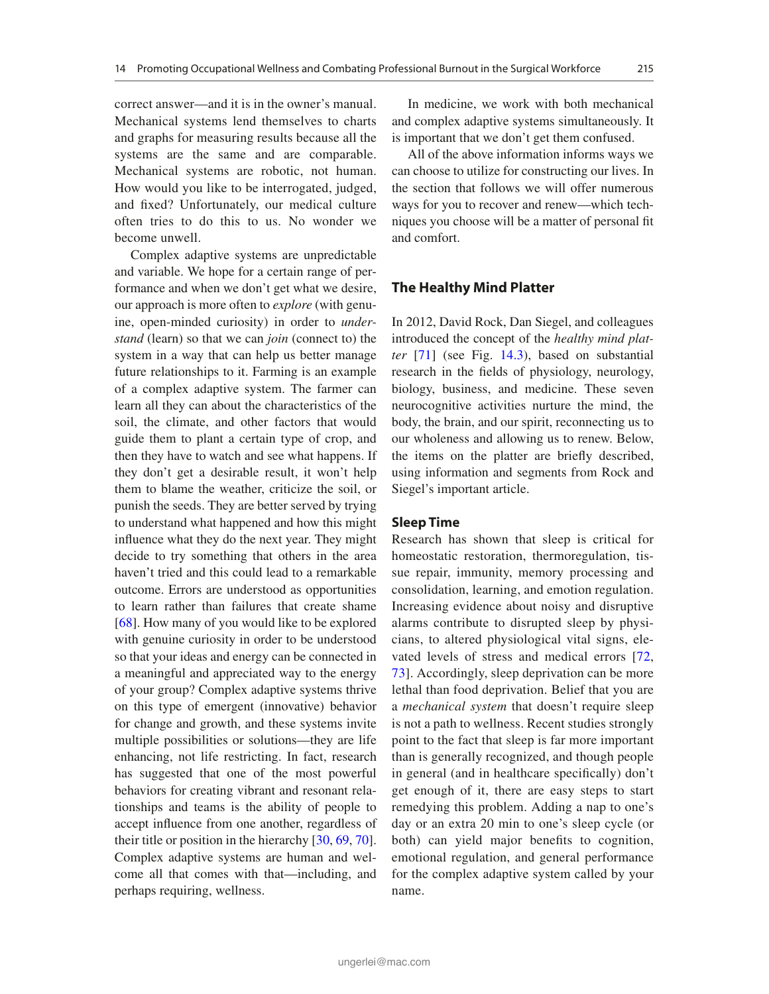correct answer—and it is in the owner's manual. Mechanical systems lend themselves to charts and graphs for measuring results because all the systems are the same and are comparable. Mechanical systems are robotic, not human. How would you like to be interrogated, judged, and fixed? Unfortunately, our medical culture often tries to do this to us. No wonder we become unwell.

Complex adaptive systems are unpredictable and variable. We hope for a certain range of performance and when we don't get what we desire, our approach is more often to *explore* (with genuine, open-minded curiosity) in order to *understand* (learn) so that we can *join* (connect to) the system in a way that can help us better manage future relationships to it. Farming is an example of a complex adaptive system. The farmer can learn all they can about the characteristics of the soil, the climate, and other factors that would guide them to plant a certain type of crop, and then they have to watch and see what happens. If they don't get a desirable result, it won't help them to blame the weather, criticize the soil, or punish the seeds. They are better served by trying to understand what happened and how this might influence what they do the next year. They might decide to try something that others in the area haven't tried and this could lead to a remarkable outcome. Errors are understood as opportunities to learn rather than failures that create shame [68]. How many of you would like to be explored with genuine curiosity in order to be understood so that your ideas and energy can be connected in a meaningful and appreciated way to the energy of your group? Complex adaptive systems thrive on this type of emergent (innovative) behavior for change and growth, and these systems invite multiple possibilities or solutions—they are life enhancing, not life restricting. In fact, research has suggested that one of the most powerful behaviors for creating vibrant and resonant relationships and teams is the ability of people to accept influence from one another, regardless of their title or position in the hierarchy [30, 69, 70]. Complex adaptive systems are human and welcome all that comes with that—including, and perhaps requiring, wellness.

In medicine, we work with both mechanical and complex adaptive systems simultaneously. It is important that we don't get them confused.

All of the above information informs ways we can choose to utilize for constructing our lives. In the section that follows we will offer numerous ways for you to recover and renew—which techniques you choose will be a matter of personal fit and comfort.

#### **The Healthy Mind Platter**

In 2012, David Rock, Dan Siegel, and colleagues introduced the concept of the *healthy mind platter* [71] (see Fig. 14.3), based on substantial research in the fields of physiology, neurology, biology, business, and medicine. These seven neurocognitive activities nurture the mind, the body, the brain, and our spirit, reconnecting us to our wholeness and allowing us to renew. Below, the items on the platter are briefly described, using information and segments from Rock and Siegel's important article.

#### **Sleep Time**

Research has shown that sleep is critical for homeostatic restoration, thermoregulation, tissue repair, immunity, memory processing and consolidation, learning, and emotion regulation. Increasing evidence about noisy and disruptive alarms contribute to disrupted sleep by physicians, to altered physiological vital signs, elevated levels of stress and medical errors [72, 73]. Accordingly, sleep deprivation can be more lethal than food deprivation. Belief that you are a *mechanical system* that doesn't require sleep is not a path to wellness. Recent studies strongly point to the fact that sleep is far more important than is generally recognized, and though people in general (and in healthcare specifically) don't get enough of it, there are easy steps to start remedying this problem. Adding a nap to one's day or an extra 20 min to one's sleep cycle (or both) can yield major benefits to cognition, emotional regulation, and general performance for the complex adaptive system called by your name.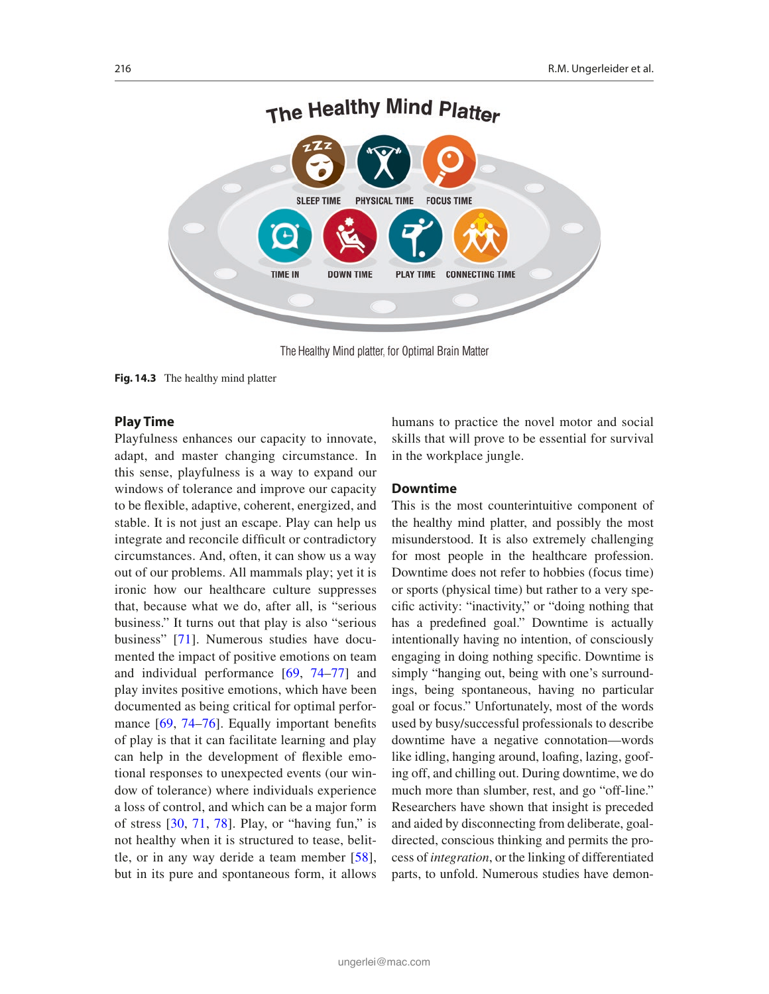

The Healthy Mind platter, for Optimal Brain Matter

Fig. 14.3 The healthy mind platter

#### **Play Time**

Playfulness enhances our capacity to innovate, adapt, and master changing circumstance. In this sense, playfulness is a way to expand our windows of tolerance and improve our capacity to be flexible, adaptive, coherent, energized, and stable. It is not just an escape. Play can help us integrate and reconcile difficult or contradictory circumstances. And, often, it can show us a way out of our problems. All mammals play; yet it is ironic how our healthcare culture suppresses that, because what we do, after all, is "serious business." It turns out that play is also "serious business" [71]. Numerous studies have documented the impact of positive emotions on team and individual performance [69, 74–77] and play invites positive emotions, which have been documented as being critical for optimal performance [69, 74–76]. Equally important benefits of play is that it can facilitate learning and play can help in the development of flexible emotional responses to unexpected events (our window of tolerance) where individuals experience a loss of control, and which can be a major form of stress  $[30, 71, 78]$ . Play, or "having fun," is not healthy when it is structured to tease, belittle, or in any way deride a team member [58], but in its pure and spontaneous form, it allows

humans to practice the novel motor and social skills that will prove to be essential for survival in the workplace jungle.

#### **Downtime**

This is the most counterintuitive component of the healthy mind platter, and possibly the most misunderstood. It is also extremely challenging for most people in the healthcare profession. Downtime does not refer to hobbies (focus time) or sports (physical time) but rather to a very specific activity: "inactivity," or "doing nothing that has a predefined goal." Downtime is actually intentionally having no intention, of consciously engaging in doing nothing specific. Downtime is simply "hanging out, being with one's surroundings, being spontaneous, having no particular goal or focus." Unfortunately, most of the words used by busy/successful professionals to describe downtime have a negative connotation—words like idling, hanging around, loafing, lazing, goofing off, and chilling out. During downtime, we do much more than slumber, rest, and go "off-line." Researchers have shown that insight is preceded and aided by disconnecting from deliberate, goaldirected, conscious thinking and permits the process of *integration*, or the linking of differentiated parts, to unfold. Numerous studies have demon-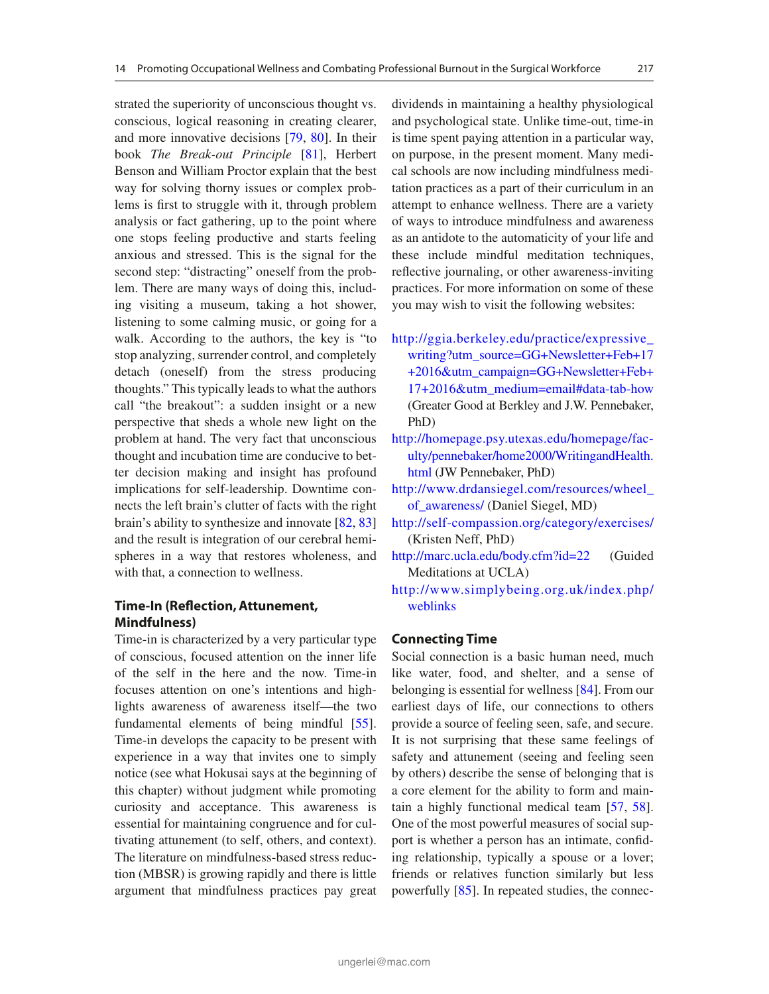strated the superiority of unconscious thought vs. conscious, logical reasoning in creating clearer, and more innovative decisions [79, 80]. In their book *The Break-out Principle* [81], Herbert Benson and William Proctor explain that the best way for solving thorny issues or complex problems is first to struggle with it, through problem analysis or fact gathering, up to the point where one stops feeling productive and starts feeling anxious and stressed. This is the signal for the second step: "distracting" oneself from the problem. There are many ways of doing this, including visiting a museum, taking a hot shower, listening to some calming music, or going for a walk. According to the authors, the key is "to stop analyzing, surrender control, and completely detach (oneself) from the stress producing thoughts." This typically leads to what the authors call "the breakout": a sudden insight or a new perspective that sheds a whole new light on the problem at hand. The very fact that unconscious thought and incubation time are conducive to better decision making and insight has profound implications for self-leadership. Downtime connects the left brain's clutter of facts with the right brain's ability to synthesize and innovate [82, 83] and the result is integration of our cerebral hemispheres in a way that restores wholeness, and with that, a connection to wellness.

## **Time-In (Reflection, Attunement, Mindfulness)**

Time-in is characterized by a very particular type of conscious, focused attention on the inner life of the self in the here and the now. Time-in focuses attention on one's intentions and highlights awareness of awareness itself—the two fundamental elements of being mindful [55]. Time-in develops the capacity to be present with experience in a way that invites one to simply notice (see what Hokusai says at the beginning of this chapter) without judgment while promoting curiosity and acceptance. This awareness is essential for maintaining congruence and for cultivating attunement (to self, others, and context). The literature on mindfulness-based stress reduction (MBSR) is growing rapidly and there is little argument that mindfulness practices pay great

dividends in maintaining a healthy physiological and psychological state. Unlike time-out, time-in is time spent paying attention in a particular way, on purpose, in the present moment. Many medical schools are now including mindfulness meditation practices as a part of their curriculum in an attempt to enhance wellness. There are a variety of ways to introduce mindfulness and awareness as an antidote to the automaticity of your life and these include mindful meditation techniques, reflective journaling, or other awareness-inviting practices. For more information on some of these you may wish to visit the following websites:

- http://ggia.berkeley.edu/practice/expressive\_ writing?utm\_source=GG+Newsletter+Feb+17 +2016&utm\_campaign=GG+Newsletter+Feb+ 17+2016&utm\_medium=email#data-tab-how (Greater Good at Berkley and J.W. Pennebaker, PhD)
- http://homepage.psy.utexas.edu/homepage/faculty/pennebaker/home2000/WritingandHealth. html (JW Pennebaker, PhD)
- http://www.drdansiegel.com/resources/wheel\_ of\_awareness/ (Daniel Siegel, MD)
- http://self-compassion.org/category/exercises/ (Kristen Neff, PhD)
- http://marc.ucla.edu/body.cfm?id=22 (Guided Meditations at UCLA)
- http://www.simplybeing.org.uk/index.php/ weblinks

#### **Connecting Time**

Social connection is a basic human need, much like water, food, and shelter, and a sense of belonging is essential for wellness [84]. From our earliest days of life, our connections to others provide a source of feeling seen, safe, and secure. It is not surprising that these same feelings of safety and attunement (seeing and feeling seen by others) describe the sense of belonging that is a core element for the ability to form and maintain a highly functional medical team [57, 58]. One of the most powerful measures of social support is whether a person has an intimate, confiding relationship, typically a spouse or a lover; friends or relatives function similarly but less powerfully [85]. In repeated studies, the connec-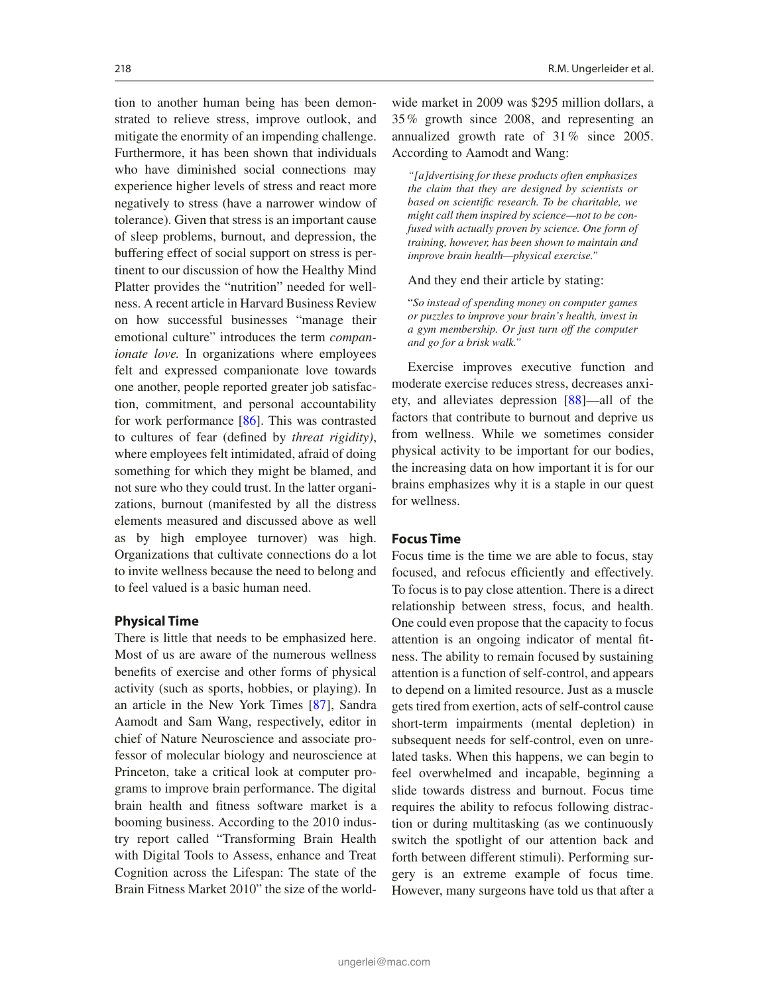*the claim that they are designed by scientists or based on scientific research. To be charitable, we might call them inspired by science—not to be confused with actually proven by science. One form of training, however, has been shown to maintain and improve brain health—physical exercise."*

And they end their article by stating:

"*So instead of spending money on computer games or puzzles to improve your brain's health, invest in a gym membership. Or just turn off the computer and go for a brisk walk."*

Exercise improves executive function and moderate exercise reduces stress, decreases anxiety, and alleviates depression [88]—all of the factors that contribute to burnout and deprive us from wellness. While we sometimes consider physical activity to be important for our bodies, the increasing data on how important it is for our brains emphasizes why it is a staple in our quest for wellness.

#### **Focus Time**

Focus time is the time we are able to focus, stay focused, and refocus efficiently and effectively. To focus is to pay close attention. There is a direct relationship between stress, focus, and health. One could even propose that the capacity to focus attention is an ongoing indicator of mental fitness. The ability to remain focused by sustaining attention is a function of self-control, and appears to depend on a limited resource. Just as a muscle gets tired from exertion, acts of self-control cause short-term impairments (mental depletion) in subsequent needs for self-control, even on unrelated tasks. When this happens, we can begin to feel overwhelmed and incapable, beginning a slide towards distress and burnout. Focus time requires the ability to refocus following distraction or during multitasking (as we continuously switch the spotlight of our attention back and forth between different stimuli). Performing surgery is an extreme example of focus time. However, many surgeons have told us that after a

strated to relieve stress, improve outlook, and mitigate the enormity of an impending challenge. Furthermore, it has been shown that individuals who have diminished social connections may experience higher levels of stress and react more negatively to stress (have a narrower window of tolerance). Given that stress is an important cause of sleep problems, burnout, and depression, the buffering effect of social support on stress is pertinent to our discussion of how the Healthy Mind Platter provides the "nutrition" needed for wellness. A recent article in Harvard Business Review on how successful businesses "manage their emotional culture" introduces the term *companionate love.* In organizations where employees felt and expressed companionate love towards one another, people reported greater job satisfaction, commitment, and personal accountability for work performance [86]. This was contrasted to cultures of fear (defined by *threat rigidity)*, where employees felt intimidated, afraid of doing something for which they might be blamed, and not sure who they could trust. In the latter organizations, burnout (manifested by all the distress elements measured and discussed above as well as by high employee turnover) was high. Organizations that cultivate connections do a lot to invite wellness because the need to belong and to feel valued is a basic human need.

#### **Physical Time**

There is little that needs to be emphasized here. Most of us are aware of the numerous wellness benefits of exercise and other forms of physical activity (such as sports, hobbies, or playing). In an article in the New York Times [87], Sandra Aamodt and Sam Wang, respectively, editor in chief of Nature Neuroscience and associate professor of molecular biology and neuroscience at Princeton, take a critical look at computer programs to improve brain performance. The digital brain health and fitness software market is a booming business. According to the 2010 industry report called "Transforming Brain Health with Digital Tools to Assess, enhance and Treat Cognition across the Lifespan: The state of the Brain Fitness Market 2010" the size of the world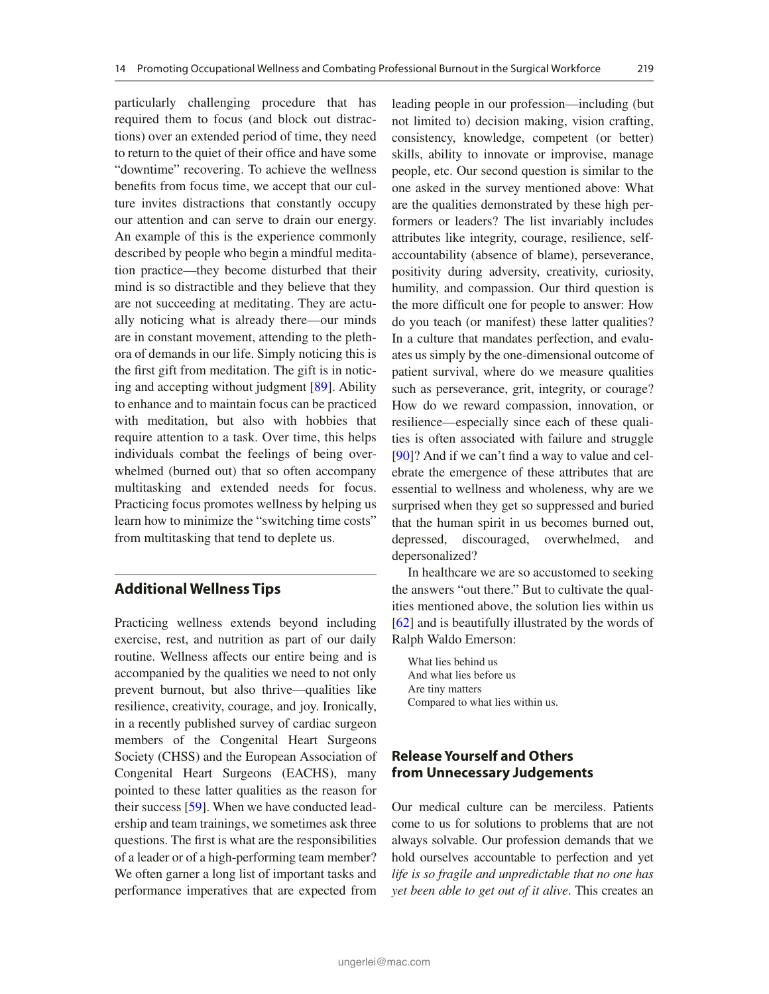particularly challenging procedure that has required them to focus (and block out distractions) over an extended period of time, they need to return to the quiet of their office and have some "downtime" recovering. To achieve the wellness benefits from focus time, we accept that our culture invites distractions that constantly occupy our attention and can serve to drain our energy. An example of this is the experience commonly described by people who begin a mindful meditation practice—they become disturbed that their mind is so distractible and they believe that they are not succeeding at meditating. They are actually noticing what is already there—our minds are in constant movement, attending to the plethora of demands in our life. Simply noticing this is the first gift from meditation. The gift is in noticing and accepting without judgment [89]. Ability to enhance and to maintain focus can be practiced with meditation, but also with hobbies that require attention to a task. Over time, this helps individuals combat the feelings of being overwhelmed (burned out) that so often accompany multitasking and extended needs for focus. Practicing focus promotes wellness by helping us learn how to minimize the "switching time costs" from multitasking that tend to deplete us.

# **Additional Wellness Tips**

Practicing wellness extends beyond including exercise, rest, and nutrition as part of our daily routine. Wellness affects our entire being and is accompanied by the qualities we need to not only prevent burnout, but also thrive—qualities like resilience, creativity, courage, and joy. Ironically, in a recently published survey of cardiac surgeon members of the Congenital Heart Surgeons Society (CHSS) and the European Association of Congenital Heart Surgeons (EACHS), many pointed to these latter qualities as the reason for their success [59]. When we have conducted leadership and team trainings, we sometimes ask three questions. The first is what are the responsibilities of a leader or of a high-performing team member? We often garner a long list of important tasks and performance imperatives that are expected from

leading people in our profession—including (but not limited to) decision making, vision crafting, consistency, knowledge, competent (or better) skills, ability to innovate or improvise, manage people, etc. Our second question is similar to the one asked in the survey mentioned above: What are the qualities demonstrated by these high performers or leaders? The list invariably includes attributes like integrity, courage, resilience, selfaccountability (absence of blame), perseverance, positivity during adversity, creativity, curiosity, humility, and compassion. Our third question is the more difficult one for people to answer: How do you teach (or manifest) these latter qualities? In a culture that mandates perfection, and evaluates us simply by the one-dimensional outcome of patient survival, where do we measure qualities such as perseverance, grit, integrity, or courage? How do we reward compassion, innovation, or resilience—especially since each of these qualities is often associated with failure and struggle [90]? And if we can't find a way to value and celebrate the emergence of these attributes that are essential to wellness and wholeness, why are we surprised when they get so suppressed and buried that the human spirit in us becomes burned out, depressed, discouraged, overwhelmed, and depersonalized?

In healthcare we are so accustomed to seeking the answers "out there." But to cultivate the qualities mentioned above, the solution lies within us [62] and is beautifully illustrated by the words of Ralph Waldo Emerson:

What lies behind us And what lies before us Are tiny matters Compared to what lies within us.

# **Release Yourself and Others from Unnecessary Judgements**

Our medical culture can be merciless. Patients come to us for solutions to problems that are not always solvable. Our profession demands that we hold ourselves accountable to perfection and yet *life is so fragile and unpredictable that no one has yet been able to get out of it alive*. This creates an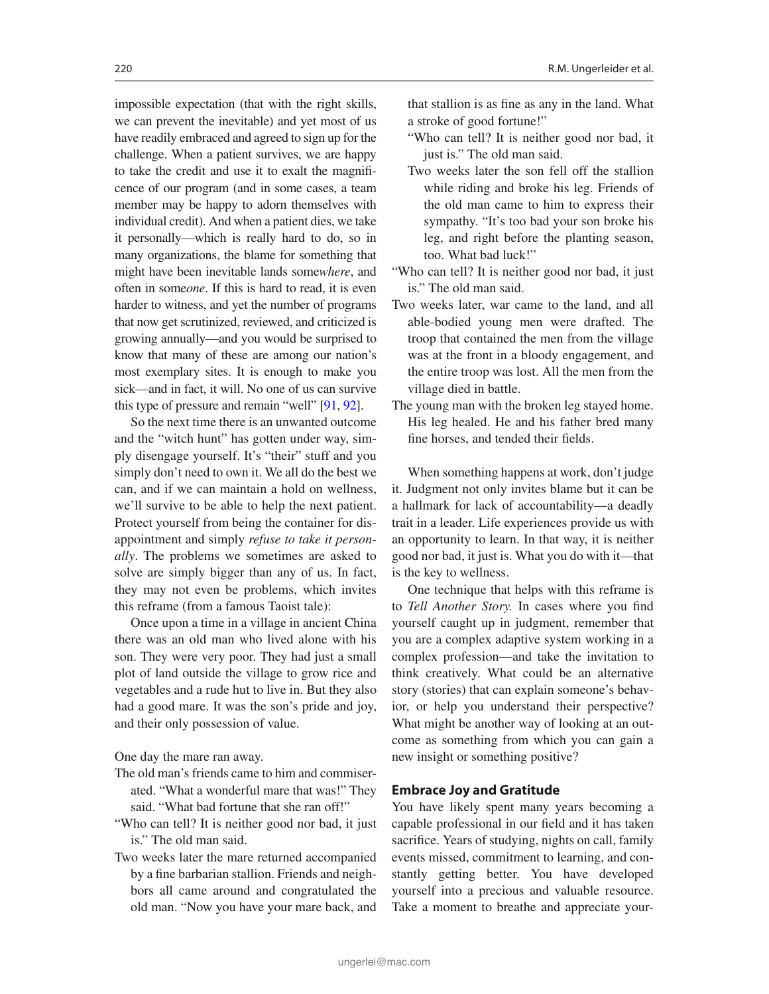impossible expectation (that with the right skills, we can prevent the inevitable) and yet most of us have readily embraced and agreed to sign up for the challenge. When a patient survives, we are happy to take the credit and use it to exalt the magnificence of our program (and in some cases, a team member may be happy to adorn themselves with individual credit). And when a patient dies, we take it personally—which is really hard to do, so in many organizations, the blame for something that might have been inevitable lands some*where*, and often in some*one*. If this is hard to read, it is even harder to witness, and yet the number of programs that now get scrutinized, reviewed, and criticized is growing annually—and you would be surprised to know that many of these are among our nation's most exemplary sites. It is enough to make you sick—and in fact, it will. No one of us can survive this type of pressure and remain "well" [91, 92].

So the next time there is an unwanted outcome and the "witch hunt" has gotten under way, simply disengage yourself. It's "their" stuff and you simply don't need to own it. We all do the best we can, and if we can maintain a hold on wellness, we'll survive to be able to help the next patient. Protect yourself from being the container for disappointment and simply *refuse to take it personally*. The problems we sometimes are asked to solve are simply bigger than any of us. In fact, they may not even be problems, which invites this reframe (from a famous Taoist tale):

Once upon a time in a village in ancient China there was an old man who lived alone with his son. They were very poor. They had just a small plot of land outside the village to grow rice and vegetables and a rude hut to live in. But they also had a good mare. It was the son's pride and joy, and their only possession of value.

One day the mare ran away.

- The old man's friends came to him and commiserated. "What a wonderful mare that was!" They said. "What bad fortune that she ran off!"
- "Who can tell? It is neither good nor bad, it just is." The old man said.
- Two weeks later the mare returned accompanied by a fine barbarian stallion. Friends and neighbors all came around and congratulated the old man. "Now you have your mare back, and

that stallion is as fine as any in the land. What a stroke of good fortune!"

- "Who can tell? It is neither good nor bad, it just is." The old man said.
- Two weeks later the son fell off the stallion while riding and broke his leg. Friends of the old man came to him to express their sympathy. "It's too bad your son broke his leg, and right before the planting season, too. What bad luck!"
- "Who can tell? It is neither good nor bad, it just is." The old man said.
- Two weeks later, war came to the land, and all able-bodied young men were drafted. The troop that contained the men from the village was at the front in a bloody engagement, and the entire troop was lost. All the men from the village died in battle.
- The young man with the broken leg stayed home. His leg healed. He and his father bred many fine horses, and tended their fields.

When something happens at work, don't judge it. Judgment not only invites blame but it can be a hallmark for lack of accountability—a deadly trait in a leader. Life experiences provide us with an opportunity to learn. In that way, it is neither good nor bad, it just is. What you do with it—that is the key to wellness.

One technique that helps with this reframe is to *Tell Another Story.* In cases where you find yourself caught up in judgment, remember that you are a complex adaptive system working in a complex profession—and take the invitation to think creatively. What could be an alternative story (stories) that can explain someone's behavior, or help you understand their perspective? What might be another way of looking at an outcome as something from which you can gain a new insight or something positive?

#### **Embrace Joy and Gratitude**

You have likely spent many years becoming a capable professional in our field and it has taken sacrifice. Years of studying, nights on call, family events missed, commitment to learning, and constantly getting better. You have developed yourself into a precious and valuable resource. Take a moment to breathe and appreciate your-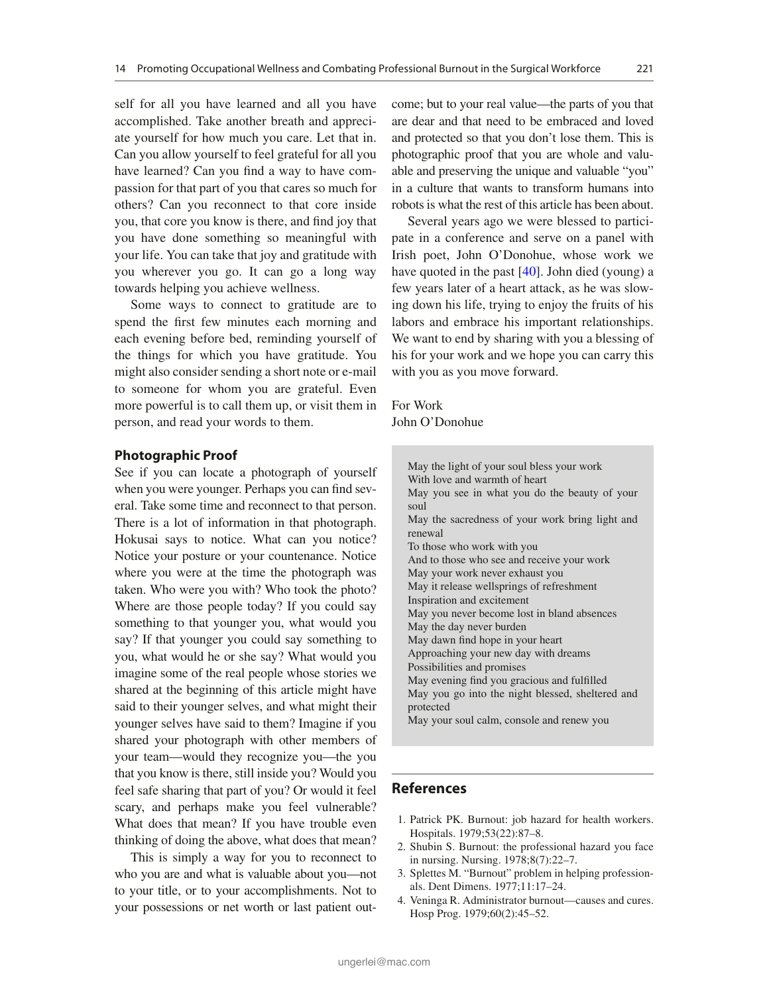self for all you have learned and all you have accomplished. Take another breath and appreciate yourself for how much you care. Let that in. Can you allow yourself to feel grateful for all you have learned? Can you find a way to have compassion for that part of you that cares so much for others? Can you reconnect to that core inside you, that core you know is there, and find joy that you have done something so meaningful with your life. You can take that joy and gratitude with you wherever you go. It can go a long way towards helping you achieve wellness.

Some ways to connect to gratitude are to spend the first few minutes each morning and each evening before bed, reminding yourself of the things for which you have gratitude. You might also consider sending a short note or e-mail to someone for whom you are grateful. Even more powerful is to call them up, or visit them in person, and read your words to them.

#### **Photographic Proof**

See if you can locate a photograph of yourself when you were younger. Perhaps you can find several. Take some time and reconnect to that person. There is a lot of information in that photograph. Hokusai says to notice. What can you notice? Notice your posture or your countenance. Notice where you were at the time the photograph was taken. Who were you with? Who took the photo? Where are those people today? If you could say something to that younger you, what would you say? If that younger you could say something to you, what would he or she say? What would you imagine some of the real people whose stories we shared at the beginning of this article might have said to their younger selves, and what might their younger selves have said to them? Imagine if you shared your photograph with other members of your team—would they recognize you—the you that you know is there, still inside you? Would you feel safe sharing that part of you? Or would it feel scary, and perhaps make you feel vulnerable? What does that mean? If you have trouble even thinking of doing the above, what does that mean?

This is simply a way for you to reconnect to who you are and what is valuable about you—not to your title, or to your accomplishments. Not to your possessions or net worth or last patient outcome; but to your real value—the parts of you that are dear and that need to be embraced and loved and protected so that you don't lose them. This is photographic proof that you are whole and valuable and preserving the unique and valuable "you" in a culture that wants to transform humans into robots is what the rest of this article has been about.

Several years ago we were blessed to participate in a conference and serve on a panel with Irish poet, John O'Donohue, whose work we have quoted in the past [40]. John died (young) a few years later of a heart attack, as he was slowing down his life, trying to enjoy the fruits of his labors and embrace his important relationships. We want to end by sharing with you a blessing of his for your work and we hope you can carry this with you as you move forward.

For Work John O'Donohue

| May the light of your soul bless your work                    |
|---------------------------------------------------------------|
| With love and warmth of heart                                 |
| May you see in what you do the beauty of your                 |
| soul                                                          |
| May the sacredness of your work bring light and               |
| renewal                                                       |
| To those who work with you                                    |
| And to those who see and receive your work                    |
| May your work never exhaust you                               |
| May it release wellsprings of refreshment                     |
| Inspiration and excitement                                    |
| May you never become lost in bland absences                   |
| May the day never burden                                      |
| May dawn find hope in your heart                              |
| Approaching your new day with dreams                          |
| Possibilities and promises                                    |
| May evening find you gracious and fulfilled                   |
| May you go into the night blessed, sheltered and<br>protected |
| May your soul calm, console and renew you                     |

#### **References**

- 1. Patrick PK. Burnout: job hazard for health workers. Hospitals. 1979;53(22):87–8.
- 2. Shubin S. Burnout: the professional hazard you face in nursing. Nursing. 1978;8(7):22–7.
- 3. Splettes M. "Burnout" problem in helping professionals. Dent Dimens. 1977;11:17–24.
- 4. Veninga R. Administrator burnout—causes and cures. Hosp Prog. 1979;60(2):45–52.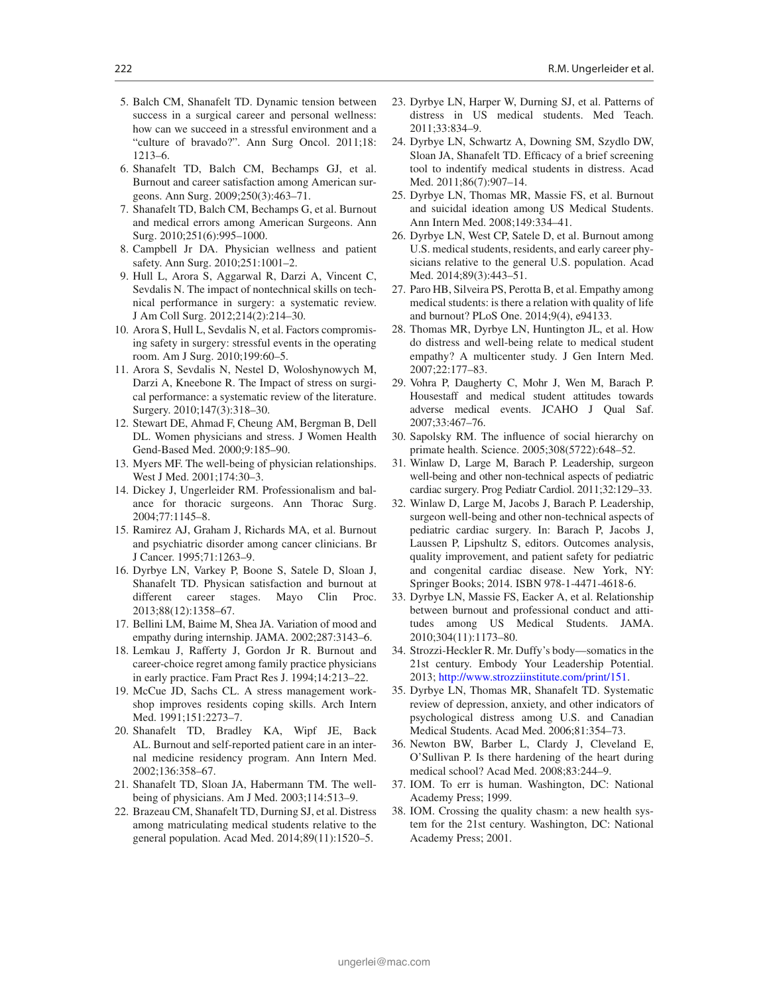- 5. Balch CM, Shanafelt TD. Dynamic tension between success in a surgical career and personal wellness:
- how can we succeed in a stressful environment and a "culture of bravado?". Ann Surg Oncol. 2011;18: 1213–6. 6. Shanafelt TD, Balch CM, Bechamps GJ, et al.
- Burnout and career satisfaction among American surgeons. Ann Surg. 2009;250(3):463–71.
- 7. Shanafelt TD, Balch CM, Bechamps G, et al. Burnout and medical errors among American Surgeons. Ann Surg. 2010;251(6):995–1000.
- 8. Campbell Jr DA. Physician wellness and patient safety. Ann Surg. 2010;251:1001–2.
- 9. Hull L, Arora S, Aggarwal R, Darzi A, Vincent C, Sevdalis N. The impact of nontechnical skills on technical performance in surgery: a systematic review. J Am Coll Surg. 2012;214(2):214–30.
- 10. Arora S, Hull L, Sevdalis N, et al. Factors compromising safety in surgery: stressful events in the operating room. Am J Surg. 2010;199:60–5.
- 11. Arora S, Sevdalis N, Nestel D, Woloshynowych M, Darzi A, Kneebone R. The Impact of stress on surgical performance: a systematic review of the literature. Surgery. 2010;147(3):318–30.
- 12. Stewart DE, Ahmad F, Cheung AM, Bergman B, Dell DL. Women physicians and stress. J Women Health Gend-Based Med. 2000;9:185–90.
- 13. Myers MF. The well-being of physician relationships. West J Med. 2001;174:30–3.
- 14. Dickey J, Ungerleider RM. Professionalism and balance for thoracic surgeons. Ann Thorac Surg. 2004;77:1145–8.
- 15. Ramirez AJ, Graham J, Richards MA, et al. Burnout and psychiatric disorder among cancer clinicians. Br J Cancer. 1995;71:1263–9.
- 16. Dyrbye LN, Varkey P, Boone S, Satele D, Sloan J, Shanafelt TD. Physican satisfaction and burnout at different career stages. Mayo Clin Proc. 2013;88(12):1358–67.
- 17. Bellini LM, Baime M, Shea JA. Variation of mood and empathy during internship. JAMA. 2002;287:3143–6.
- 18. Lemkau J, Rafferty J, Gordon Jr R. Burnout and career-choice regret among family practice physicians in early practice. Fam Pract Res J. 1994;14:213–22.
- 19. McCue JD, Sachs CL. A stress management workshop improves residents coping skills. Arch Intern Med. 1991;151:2273–7.
- 20. Shanafelt TD, Bradley KA, Wipf JE, Back AL. Burnout and self-reported patient care in an internal medicine residency program. Ann Intern Med. 2002;136:358–67.
- 21. Shanafelt TD, Sloan JA, Habermann TM. The wellbeing of physicians. Am J Med. 2003;114:513–9.
- 22. Brazeau CM, Shanafelt TD, Durning SJ, et al. Distress among matriculating medical students relative to the general population. Acad Med. 2014;89(11):1520–5.
- 23. Dyrbye LN, Harper W, Durning SJ, et al. Patterns of distress in US medical students. Med Teach. 2011;33:834–9.
- 24. Dyrbye LN, Schwartz A, Downing SM, Szydlo DW, Sloan JA, Shanafelt TD. Efficacy of a brief screening tool to indentify medical students in distress. Acad Med. 2011;86(7):907–14.
- 25. Dyrbye LN, Thomas MR, Massie FS, et al. Burnout and suicidal ideation among US Medical Students. Ann Intern Med. 2008;149:334–41.
- 26. Dyrbye LN, West CP, Satele D, et al. Burnout among U.S. medical students, residents, and early career physicians relative to the general U.S. population. Acad Med. 2014;89(3):443–51.
- 27. Paro HB, Silveira PS, Perotta B, et al. Empathy among medical students: is there a relation with quality of life and burnout? PLoS One. 2014;9(4), e94133.
- 28. Thomas MR, Dyrbye LN, Huntington JL, et al. How do distress and well-being relate to medical student empathy? A multicenter study. J Gen Intern Med. 2007;22:177–83.
- 29. Vohra P, Daugherty C, Mohr J, Wen M, Barach P. Housestaff and medical student attitudes towards adverse medical events. JCAHO J Qual Saf. 2007;33:467–76.
- 30. Sapolsky RM. The influence of social hierarchy on primate health. Science. 2005;308(5722):648–52.
- 31. Winlaw D, Large M, Barach P. Leadership, surgeon well-being and other non-technical aspects of pediatric cardiac surgery. Prog Pediatr Cardiol. 2011;32:129–33.
- 32. Winlaw D, Large M, Jacobs J, Barach P. Leadership, surgeon well-being and other non-technical aspects of pediatric cardiac surgery. In: Barach P, Jacobs J, Laussen P, Lipshultz S, editors. Outcomes analysis, quality improvement, and patient safety for pediatric and congenital cardiac disease. New York, NY: Springer Books; 2014. ISBN 978-1-4471-4618-6.
- 33. Dyrbye LN, Massie FS, Eacker A, et al. Relationship between burnout and professional conduct and attitudes among US Medical Students. JAMA. 2010;304(11):1173–80.
- 34. Strozzi-Heckler R. Mr. Duffy's body—somatics in the 21st century. Embody Your Leadership Potential. 2013; http://www.strozziinstitute.com/print/151.
- 35. Dyrbye LN, Thomas MR, Shanafelt TD. Systematic review of depression, anxiety, and other indicators of psychological distress among U.S. and Canadian Medical Students. Acad Med. 2006;81:354–73.
- 36. Newton BW, Barber L, Clardy J, Cleveland E, O'Sullivan P. Is there hardening of the heart during medical school? Acad Med. 2008;83:244–9.
- 37. IOM. To err is human. Washington, DC: National Academy Press; 1999.
- 38. IOM. Crossing the quality chasm: a new health system for the 21st century. Washington, DC: National Academy Press; 2001.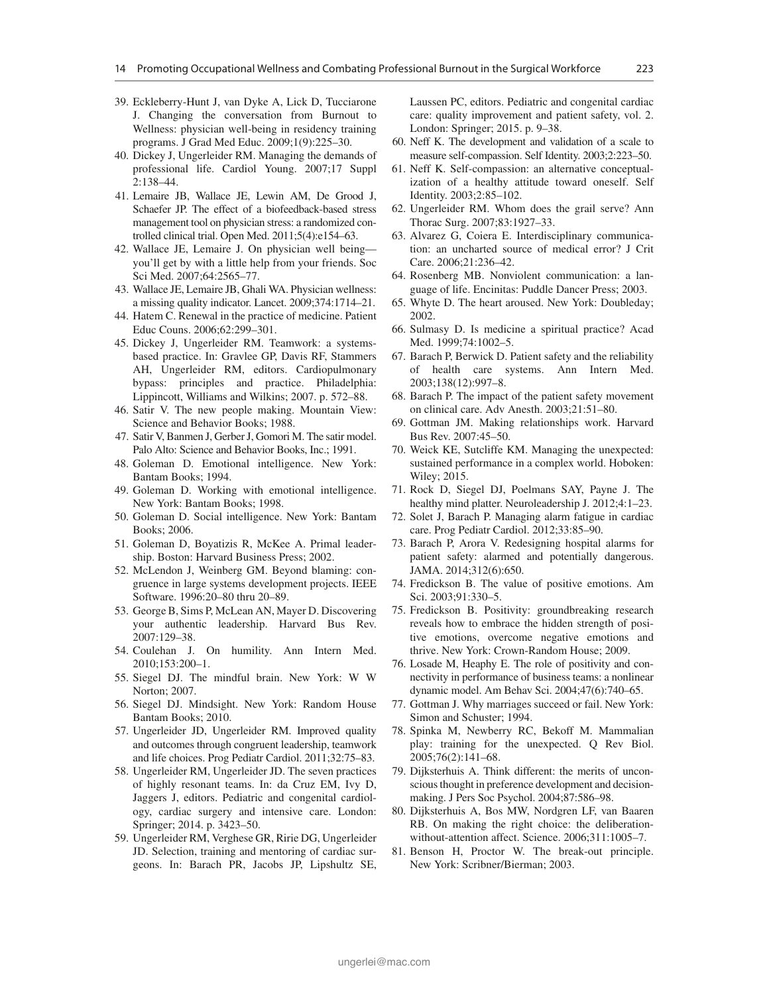- 39. Eckleberry-Hunt J, van Dyke A, Lick D, Tucciarone J. Changing the conversation from Burnout to Wellness: physician well-being in residency training programs. J Grad Med Educ. 2009;1(9):225–30.
- 40. Dickey J, Ungerleider RM. Managing the demands of professional life. Cardiol Young. 2007;17 Suppl 2:138–44.
- 41. Lemaire JB, Wallace JE, Lewin AM, De Grood J, Schaefer JP. The effect of a biofeedback-based stress management tool on physician stress: a randomized controlled clinical trial. Open Med. 2011;5(4):e154–63.
- 42. Wallace JE, Lemaire J. On physician well being you'll get by with a little help from your friends. Soc Sci Med. 2007;64:2565–77.
- 43. Wallace JE, Lemaire JB, Ghali WA. Physician wellness: a missing quality indicator. Lancet. 2009;374:1714–21.
- 44. Hatem C. Renewal in the practice of medicine. Patient Educ Couns. 2006;62:299–301.
- 45. Dickey J, Ungerleider RM. Teamwork: a systemsbased practice. In: Gravlee GP, Davis RF, Stammers AH, Ungerleider RM, editors. Cardiopulmonary bypass: principles and practice. Philadelphia: Lippincott, Williams and Wilkins; 2007. p. 572–88.
- 46. Satir V. The new people making. Mountain View: Science and Behavior Books; 1988.
- 47. Satir V, Banmen J, Gerber J, Gomori M. The satir model. Palo Alto: Science and Behavior Books, Inc.; 1991.
- 48. Goleman D. Emotional intelligence. New York: Bantam Books; 1994.
- 49. Goleman D. Working with emotional intelligence. New York: Bantam Books; 1998.
- 50. Goleman D. Social intelligence. New York: Bantam Books; 2006.
- 51. Goleman D, Boyatizis R, McKee A. Primal leadership. Boston: Harvard Business Press; 2002.
- 52. McLendon J, Weinberg GM. Beyond blaming: congruence in large systems development projects. IEEE Software. 1996:20–80 thru 20–89.
- 53. George B, Sims P, McLean AN, Mayer D. Discovering your authentic leadership. Harvard Bus Rev. 2007:129–38.
- 54. Coulehan J. On humility. Ann Intern Med. 2010;153:200–1.
- 55. Siegel DJ. The mindful brain. New York: W W Norton; 2007.
- 56. Siegel DJ. Mindsight. New York: Random House Bantam Books; 2010.
- 57. Ungerleider JD, Ungerleider RM. Improved quality and outcomes through congruent leadership, teamwork and life choices. Prog Pediatr Cardiol. 2011;32:75–83.
- 58. Ungerleider RM, Ungerleider JD. The seven practices of highly resonant teams. In: da Cruz EM, Ivy D, Jaggers J, editors. Pediatric and congenital cardiology, cardiac surgery and intensive care. London: Springer; 2014. p. 3423–50.
- 59. Ungerleider RM, Verghese GR, Ririe DG, Ungerleider JD. Selection, training and mentoring of cardiac surgeons. In: Barach PR, Jacobs JP, Lipshultz SE,

Laussen PC, editors. Pediatric and congenital cardiac care: quality improvement and patient safety, vol. 2. London: Springer; 2015. p. 9–38.

- 60. Neff K. The development and validation of a scale to measure self-compassion. Self Identity. 2003;2:223–50.
- 61. Neff K. Self-compassion: an alternative conceptualization of a healthy attitude toward oneself. Self Identity. 2003;2:85–102.
- 62. Ungerleider RM. Whom does the grail serve? Ann Thorac Surg. 2007;83:1927–33.
- 63. Alvarez G, Coiera E. Interdisciplinary communication: an uncharted source of medical error? J Crit Care. 2006;21:236–42.
- 64. Rosenberg MB. Nonviolent communication: a language of life. Encinitas: Puddle Dancer Press; 2003.
- 65. Whyte D. The heart aroused. New York: Doubleday; 2002.
- 66. Sulmasy D. Is medicine a spiritual practice? Acad Med. 1999;74:1002–5.
- 67. Barach P, Berwick D. Patient safety and the reliability of health care systems. Ann Intern Med. 2003;138(12):997–8.
- 68. Barach P. The impact of the patient safety movement on clinical care. Adv Anesth. 2003;21:51–80.
- 69. Gottman JM. Making relationships work. Harvard Bus Rev. 2007:45–50.
- 70. Weick KE, Sutcliffe KM. Managing the unexpected: sustained performance in a complex world. Hoboken: Wiley; 2015.
- 71. Rock D, Siegel DJ, Poelmans SAY, Payne J. The healthy mind platter. Neuroleadership J. 2012;4:1–23.
- 72. Solet J, Barach P. Managing alarm fatigue in cardiac care. Prog Pediatr Cardiol. 2012;33:85–90.
- 73. Barach P, Arora V. Redesigning hospital alarms for patient safety: alarmed and potentially dangerous. JAMA. 2014;312(6):650.
- 74. Fredickson B. The value of positive emotions. Am Sci. 2003;91:330–5.
- 75. Fredickson B. Positivity: groundbreaking research reveals how to embrace the hidden strength of positive emotions, overcome negative emotions and thrive. New York: Crown-Random House; 2009.
- 76. Losade M, Heaphy E. The role of positivity and connectivity in performance of business teams: a nonlinear dynamic model. Am Behav Sci. 2004;47(6):740–65.
- 77. Gottman J. Why marriages succeed or fail. New York: Simon and Schuster; 1994.
- 78. Spinka M, Newberry RC, Bekoff M. Mammalian play: training for the unexpected. Q Rev Biol. 2005;76(2):141–68.
- 79. Dijksterhuis A. Think different: the merits of unconscious thought in preference development and decisionmaking. J Pers Soc Psychol. 2004;87:586–98.
- 80. Dijksterhuis A, Bos MW, Nordgren LF, van Baaren RB. On making the right choice: the deliberationwithout-attention affect. Science. 2006;311:1005–7.
- 81. Benson H, Proctor W. The break-out principle. New York: Scribner/Bierman; 2003.